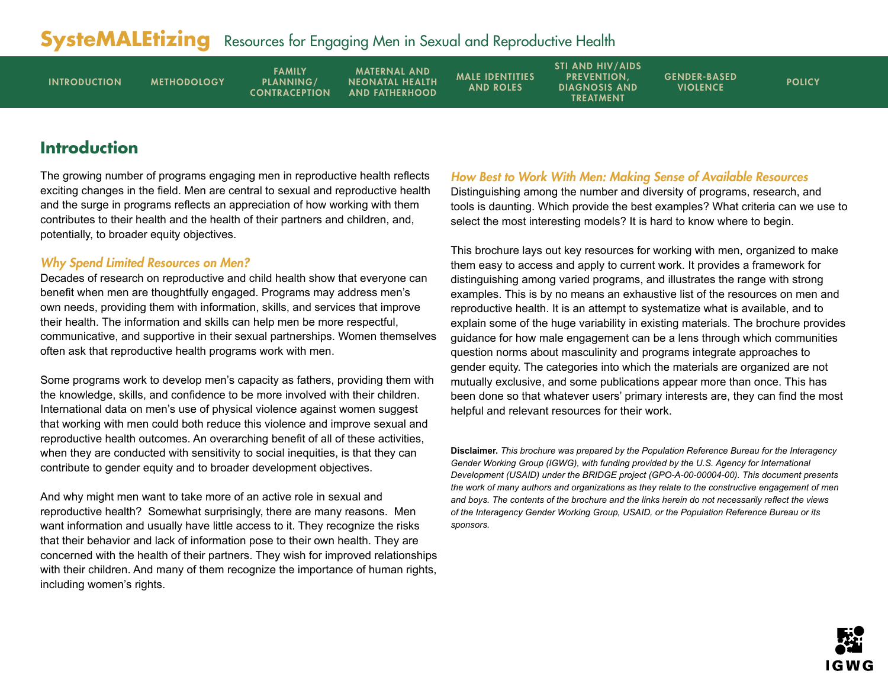<span id="page-0-0"></span>

| <b>INTRODUCTION</b> | <b>METHODOLOGY</b> | <b>FAMILY</b><br>PLANNING/<br><b>CONTRACEPTION</b> | <b>MATERNAL AND</b><br><b>NEONATAL HEALTH</b><br><b>AND FATHERHOOD</b> | <b>MALE IDENTITIES</b><br><b>AND ROLES</b> | <b>STI AND HIV/AIDS</b><br><b>PREVENTION.</b><br><b>DIAGNOSIS AND</b><br><b>TREATMENT</b> | <b>GENDER-BASED</b><br><b>VIOLENCE</b> | <b>POLICY</b> |
|---------------------|--------------------|----------------------------------------------------|------------------------------------------------------------------------|--------------------------------------------|-------------------------------------------------------------------------------------------|----------------------------------------|---------------|
|---------------------|--------------------|----------------------------------------------------|------------------------------------------------------------------------|--------------------------------------------|-------------------------------------------------------------------------------------------|----------------------------------------|---------------|

## **Introduction**

The growing number of programs engaging men in reproductive health reflects exciting changes in the field. Men are central to sexual and reproductive health and the surge in programs reflects an appreciation of how working with them contributes to their health and the health of their partners and children, and, potentially, to broader equity objectives.

## Why Spend Limited Resources on Men?

Decades of research on reproductive and child health show that everyone can benefit when men are thoughtfully engaged. Programs may address men's own needs, providing them with information, skills, and services that improve their health. The information and skills can help men be more respectful, communicative, and supportive in their sexual partnerships. Women themselves often ask that reproductive health programs work with men.

Some programs work to develop men's capacity as fathers, providing them with the knowledge, skills, and confidence to be more involved with their children. International data on men's use of physical violence against women suggest that working with men could both reduce this violence and improve sexual and reproductive health outcomes. An overarching benefit of all of these activities, when they are conducted with sensitivity to social inequities, is that they can contribute to gender equity and to broader development objectives.

And why might men want to take more of an active role in sexual and reproductive health? Somewhat surprisingly, there are many reasons. Men want information and usually have little access to it. They recognize the risks that their behavior and lack of information pose to their own health. They are concerned with the health of their partners. They wish for improved relationships with their children. And many of them recognize the importance of human rights, including women's rights.

### How Best to Work With Men: Making Sense of Available Resources

Distinguishing among the number and diversity of programs, research, and tools is daunting. Which provide the best examples? What criteria can we use to select the most interesting models? It is hard to know where to begin.

This brochure lays out key resources for working with men, organized to make them easy to access and apply to current work. It provides a framework for distinguishing among varied programs, and illustrates the range with strong examples. This is by no means an exhaustive list of the resources on men and reproductive health. It is an attempt to systematize what is available, and to explain some of the huge variability in existing materials. The brochure provides guidance for how male engagement can be a lens through which communities question norms about masculinity and programs integrate approaches to gender equity. The categories into which the materials are organized are not mutually exclusive, and some publications appear more than once. This has been done so that whatever users' primary interests are, they can find the most helpful and relevant resources for their work.

**Disclaimer.** *This brochure was prepared by the Population Reference Bureau for the Interagency Gender Working Group (IGWG), with funding provided by the U.S. Agency for International Development (USAID) under the BRIDGE project (GPO-A-00-00004-00). This document presents the work of many authors and organizations as they relate to the constructive engagement of men and boys. The contents of the brochure and the links herein do not necessarily reflect the views of the Interagency Gender Working Group, USAID, or the Population Reference Bureau or its sponsors.* 

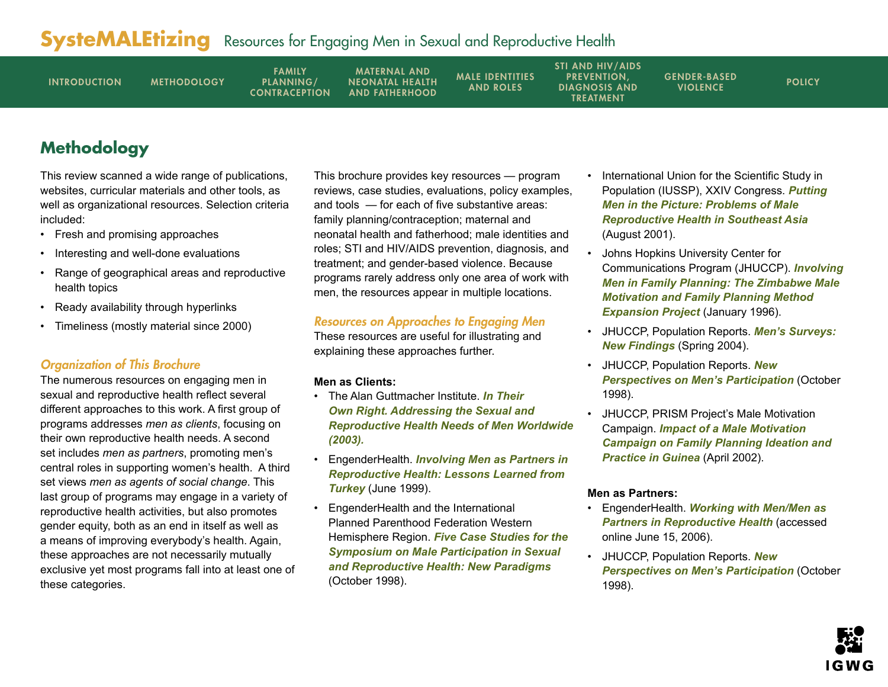<span id="page-1-0"></span>

| <b>INTRODUCTION</b><br><b>METHODOLOGY</b> | <b>FAMILY</b><br>PLANNING/<br><b>CONTRACEPTION</b> | <b>MATERNAL AND</b><br><b>NEONATAL HEALTH</b><br><b>AND FATHERHOOD</b> | <b>MALE IDENTITIES</b><br><b>AND ROLES</b> | <b>STI AND HIV/AIDS</b><br><b>PREVENTION.</b><br><b>DIAGNOSIS AND</b><br>TREATMENT | <b>GENDER-BASED</b><br><b>VIOLENCE</b> | <b>POLICY</b> |
|-------------------------------------------|----------------------------------------------------|------------------------------------------------------------------------|--------------------------------------------|------------------------------------------------------------------------------------|----------------------------------------|---------------|
|-------------------------------------------|----------------------------------------------------|------------------------------------------------------------------------|--------------------------------------------|------------------------------------------------------------------------------------|----------------------------------------|---------------|

## **Methodology**

This review scanned a wide range of publications, websites, curricular materials and other tools, as well as organizational resources. Selection criteria included:

- Fresh and promising approaches
- Interesting and well-done evaluations
- Range of geographical areas and reproductive health topics
- Ready availability through hyperlinks
- Timeliness (mostly material since 2000)

## Organization of This Brochure

The numerous resources on engaging men in sexual and reproductive health reflect several different approaches to this work. A first group of programs addresses *men as clients*, focusing on their own reproductive health needs. A second set includes *men as partners*, promoting men's central roles in supporting women's health. A third set views *men as agents of social change*. This last group of programs may engage in a variety of reproductive health activities, but also promotes gender equity, both as an end in itself as well as a means of improving everybody's health. Again, these approaches are not necessarily mutually exclusive yet most programs fall into at least one of these categories.

This brochure provides key resources — program reviews, case studies, evaluations, policy examples, and tools — for each of five substantive areas: family planning/contraception; maternal and neonatal health and fatherhood; male identities and roles; STI and HIV/AIDS prevention, diagnosis, and treatment; and gender-based violence. Because programs rarely address only one area of work with men, the resources appear in multiple locations.

## Resources on Approaches to Engaging Men

These resources are useful for illustrating and explaining these approaches further.

## **Men as Clients:**

- The Alan Guttmacher Institute. *[In Their](http://www.agi-usa.org/pubs/itor_intl.pdf)  [Own Right. Addressing the Sexual and](http://www.agi-usa.org/pubs/itor_intl.pdf)  [Reproductive Health Needs of Men Worldwide](http://www.agi-usa.org/pubs/itor_intl.pdf) (2003).*
- EngenderHealth. *[Involving Men as Partners in](http://www.engenderhealth.org/pubs/workpap/wp12/wp_12.html)  [Reproductive Health: Lessons Learned from](http://www.engenderhealth.org/pubs/workpap/wp12/wp_12.html)  [Turkey](http://www.engenderhealth.org/pubs/workpap/wp12/wp_12.html)* (June 1999).
- EngenderHealth and the International Planned Parenthood Federation Western Hemisphere Region. *[Five Case Studies for the](http://www.ippfwhr.org/publications/download/monographs/mi_symp_casestudies_e.pdf)  [Symposium on Male Participation in Sexual](http://www.ippfwhr.org/publications/download/monographs/mi_symp_casestudies_e.pdf)  [and Reproductive Health: New Paradigms](http://www.ippfwhr.org/publications/download/monographs/mi_symp_casestudies_e.pdf)* (October 1998).
- International Union for the Scientific Study in Population (IUSSP), XXIV Congress. *[Putting](http://www.iussp.org/Brazil2001/s20/S22_02_Hull.pdf)  [Men in the Picture: Problems of Male](http://www.iussp.org/Brazil2001/s20/S22_02_Hull.pdf)  [Reproductive Health in Southeast Asia](http://www.iussp.org/Brazil2001/s20/S22_02_Hull.pdf)* (August 2001).
- Johns Hopkins University Center for Communications Program (JHUCCP). *[Involving](http://pdf.dec.org/pdf_docs/PNACG652.pdf)  [Men in Family Planning: The Zimbabwe Male](http://pdf.dec.org/pdf_docs/PNACG652.pdf)  [Motivation and Family Planning Method](http://pdf.dec.org/pdf_docs/PNACG652.pdf)  [Expansion Project](http://pdf.dec.org/pdf_docs/PNACG652.pdf)* (January 1996).
- JHUCCP[, Population Reports.](http://www.infoforhealth.org/pr/m18/) *Men's Surveys: [New Findings](http://www.infoforhealth.org/pr/m18/)* (Spring 2004).
- JHUCCP, [Population Reports.](http://www.infoforhealth.org/pr/j46edsum.shtml#top) *New [Perspectives on Men's Participation](http://www.infoforhealth.org/pr/j46edsum.shtml#top)* (October 1998).
- JHUCCP, PRISM Project's Male Motivation Campaign. *[Impact of a Male Motivation](www.jhuccp.org/pubs/fr/13/13.pdf)  [Campaign on Family Planning Ideation and](www.jhuccp.org/pubs/fr/13/13.pdf)  [Practice in Guinea](www.jhuccp.org/pubs/fr/13/13.pdf)* (April 2002).

## **Men as Partners:**

- EngenderHealth. *[Working with Men/Men as](www.engenderhealth.org/ia/wwm/index.html)  [Partners in Reproductive Health](www.engenderhealth.org/ia/wwm/index.html)* (accessed online June 15, 2006).
- JHUCCP, Population Reports. *[New](www.infoforhealth.org/pr/j46edsum.shtml#top)  [Perspectives on Men's Participation](www.infoforhealth.org/pr/j46edsum.shtml#top)* (October 1998).

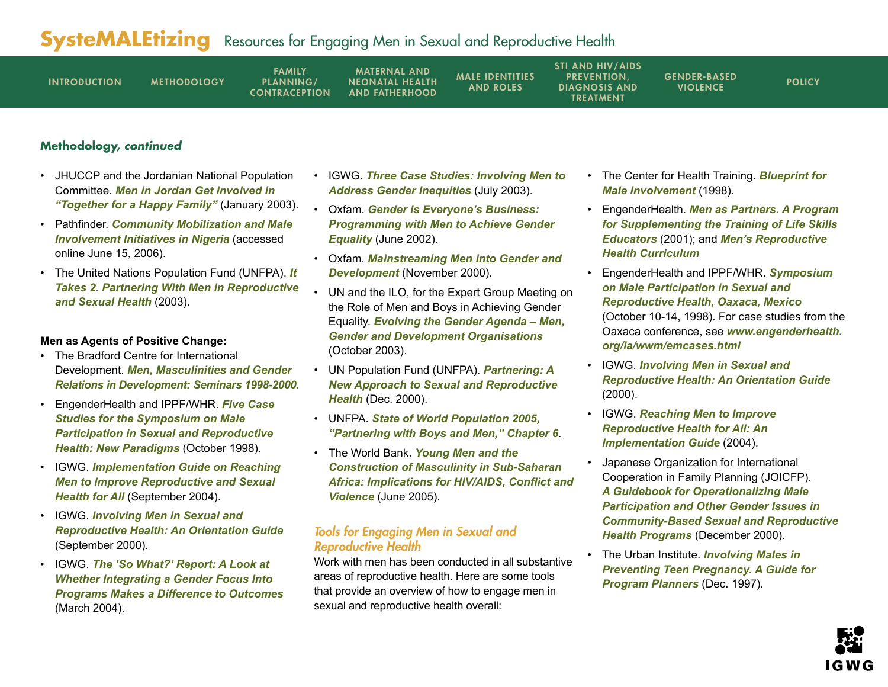| <b>INTRODUCTION</b> | <b>METHODOLOGY</b> | <b>FAMILY</b><br>PLANNING/<br><b>CONTRACEPTION</b> | <b>MATERNAL AND</b><br><b>NEONATAL HEALTH</b><br><b>AND FATHERHOOD</b> | <b>MALE IDENTITIES</b><br><b>AND ROLES</b> | <b>STI AND HIV/AIDS</b><br><b>PREVENTION.</b><br><b>DIAGNOSIS AND</b><br><b>TREATMENT</b> | <b>GENDER-BASED</b><br><b>VIOLENCE</b> | <b>POLICY</b> |
|---------------------|--------------------|----------------------------------------------------|------------------------------------------------------------------------|--------------------------------------------|-------------------------------------------------------------------------------------------|----------------------------------------|---------------|
|---------------------|--------------------|----------------------------------------------------|------------------------------------------------------------------------|--------------------------------------------|-------------------------------------------------------------------------------------------|----------------------------------------|---------------|

## **Methodology, continued**

- JHUCCP and the Jordanian National Population Committee. *[Men in Jordan Get Involved in](www.jhuccp.org/pubs/ci/14/14.pdf)  ["Together for a Happy Family"](www.jhuccp.org/pubs/ci/14/14.pdf)* (January 2003).
- Pathfinder. *[Community Mobilization and Male](www.pathfind.org/site/PageServer?pagename=Field_Office_Africa_Nigeria_Male_Involvement_Initiatives)  [Involvement Initiatives in Nigeria](www.pathfind.org/site/PageServer?pagename=Field_Office_Africa_Nigeria_Male_Involvement_Initiatives)* (accessed online June 15, 2006).
- The United Nations Population Fund (UNFPA). *[It](www.unfpa.org/upload/lib_pub_file/153_filename_ItTakes2.pdf)  [Takes 2. Partnering With Men in Reproductive](www.unfpa.org/upload/lib_pub_file/153_filename_ItTakes2.pdf)  [and Sexual Health](www.unfpa.org/upload/lib_pub_file/153_filename_ItTakes2.pdf)* (2003).

#### **Men as Agents of Positive Change:**

- The Bradford Centre for International Development. *[Men, Masculinities and Gender](www.brad.ac.uk/acad/dppc/gender/mandmweb/mainpage.html)  [Relations in Development: Seminars 1998-2000.](www.brad.ac.uk/acad/dppc/gender/mandmweb/mainpage.html)*
- EngenderHealth and IPPF/WHR. *[Five Case](www.ippfwhr.org/publications/download/monographs/mi_symp_casestudies_e.pdf)  [Studies for the Symposium on Male](www.ippfwhr.org/publications/download/monographs/mi_symp_casestudies_e.pdf)  [Participation in Sexual and Reproductive](www.ippfwhr.org/publications/download/monographs/mi_symp_casestudies_e.pdf)  [Health: New Paradigms](www.ippfwhr.org/publications/download/monographs/mi_symp_casestudies_e.pdf)* (October 1998).
- IGWG. *[Implementation Guide on Reaching](www.igwg.org/pubstools/pubs-reachingmen.htm)  [Men to Improve Reproductive and Sexual](www.igwg.org/pubstools/pubs-reachingmen.htm)  [Health for All](www.igwg.org/pubstools/pubs-reachingmen.htm)* (September 2004).
- IGWG. *[Involving Men in Sexual and](www.igwg.org/pubstools/pubs-guide.htm)  [Reproductive Health: An Orientation Guide](www.igwg.org/pubstools/pubs-guide.htm)* (September 2000).
- IGWG. *[The 'So What?' Report: A Look at](www.prb.org/pdf04/TheSoWhatReport.pdf)  [Whether Integrating a Gender Focus Into](www.prb.org/pdf04/TheSoWhatReport.pdf)  [Programs Makes a Difference to Outcomes](www.prb.org/pdf04/TheSoWhatReport.pdf)* (March 2004).
- IGWG. *[Three Case Studies: Involving Men to](www.prb.org/pdf/InvolvMenToAddressGendr.pdf)  [Address Gender Inequities](www.prb.org/pdf/InvolvMenToAddressGendr.pdf)* (July 2003).
- Oxfam. *[Gender is Everyone's Business:](www.oxfam.org.uk/what_we_do/issues/gender/gem/downloads/GEMwkshprep.pdf)  [Programming with Men to Achieve Gender](www.oxfam.org.uk/what_we_do/issues/gender/gem/downloads/GEMwkshprep.pdf)  [Equality](www.oxfam.org.uk/what_we_do/issues/gender/gem/downloads/GEMwkshprep.pdf)* (June 2002).
- Oxfam. *[Mainstreaming Men into Gender and](www.oxfam.org.uk/what_we_do/resources/wp_mainstreamingmen.htm)  [Development](www.oxfam.org.uk/what_we_do/resources/wp_mainstreamingmen.htm)* (November 2000).
- UN and the ILO, for the Expert Group Meeting on the Role of Men and Boys in Achieving Gender Equality. *[Evolving the Gender Agenda – Men,](www.un.org/womenwatch/daw/egm/men-boys2003/EP10-Lang.pdf)  [Gender and Development Organisations](www.un.org/womenwatch/daw/egm/men-boys2003/EP10-Lang.pdf)* (October 2003).
- UN Population Fund (UNFPA). *[Partnering: A](www.unfpa.org/upload/lib_pub_file/170_filename_partnering.pdf)  [New Approach to Sexual and Reproductive](www.unfpa.org/upload/lib_pub_file/170_filename_partnering.pdf)  [Health](www.unfpa.org/upload/lib_pub_file/170_filename_partnering.pdf)* (Dec. 2000).
- UNFPA. *[State of World Population 2005,](www.unfpa.org/swp/2005/english/ch6/index.htm )  ["Partnering with Boys and Men," Chapter 6](www.unfpa.org/swp/2005/english/ch6/index.htm )*.
- The World Bank. *[Young Men and the](http://tinyurl.com/kqv6q)  [Construction of Masculinity in Sub-Saharan](http://tinyurl.com/kqv6q)  [Africa: Implications for HIV/AIDS, Conflict and](http://tinyurl.com/kqv6q)  [Violence](http://tinyurl.com/kqv6q)* (June 2005).

### Tools for Engaging Men in Sexual and Reproductive Health

Work with men has been conducted in all substantive areas of reproductive health. Here are some tools that provide an overview of how to engage men in sexual and reproductive health overall:

- The Center for Health Training. *[Blueprint for](http://www.centerforhealthtraining.org/download/blueprint2K.pdf)  [Male Involvement](http://www.centerforhealthtraining.org/download/blueprint2K.pdf)* (1998).
- EngenderHealth. *[Men as Partners. A Program](www.engenderhealth.org/pubs/indpubs/ppasamanual.pdf)  [for Supplementing the Training of Life Skills](www.engenderhealth.org/pubs/indpubs/ppasamanual.pdf)  [Educators](www.engenderhealth.org/pubs/indpubs/ppasamanual.pdf)* (2001); and *[Men's Reproductive](www.engenderhealth.org/res/offc/map/mrhc/index.html#mrhc)  [Health Curriculum](www.engenderhealth.org/res/offc/map/mrhc/index.html#mrhc)*
- EngenderHealth and IPPF/WHR. *[Symposium](www.engenderhealth.org/ia/wwm/emwksp1.html)  [on Male Participation in Sexual and](www.engenderhealth.org/ia/wwm/emwksp1.html)  [Reproductive Health, Oaxaca, Mexico](www.engenderhealth.org/ia/wwm/emwksp1.html)* (October 10-14, 1998). For case studies from the Oaxaca conference, see *[www.engenderhealth.](www.engenderhealth.org/ia/wwm/emcases.html) [org/ia/wwm/emcases.html](www.engenderhealth.org/ia/wwm/emcases.html)*
- IGWG. *[Involving Men in Sexual and](www.igwg.org/pubstools/pubs-guide.htm)  [Reproductive Health: An Orientation Guide](www.igwg.org/pubstools/pubs-guide.htm)* (2000).
- IGWG. *[Reaching Men to Improve](www.jhuccp.org/igwg/guide/index.html)  [Reproductive Health for All: An](www.jhuccp.org/igwg/guide/index.html)  [Implementation Guide](www.jhuccp.org/igwg/guide/index.html)* (2004).
- Japanese Organization for International Cooperation in Family Planning (JOICFP). *[A Guidebook for Operationalizing Male](www.joicfp.or.jp/eng/publications/africa_guide_2.shtml)  [Participation and Other Gender Issues in](www.joicfp.or.jp/eng/publications/africa_guide_2.shtml)  [Community-Based Sexual and Reproductive](www.joicfp.or.jp/eng/publications/africa_guide_2.shtml)  [Health Programs](www.joicfp.or.jp/eng/publications/africa_guide_2.shtml)* (December 2000).
- The Urban Institute. *[Involving Males in](www.urban.org/publications/307327.html)  [Preventing Teen Pregnancy. A Guide for](www.urban.org/publications/307327.html)  [Program Planners](www.urban.org/publications/307327.html)* (Dec. 1997).

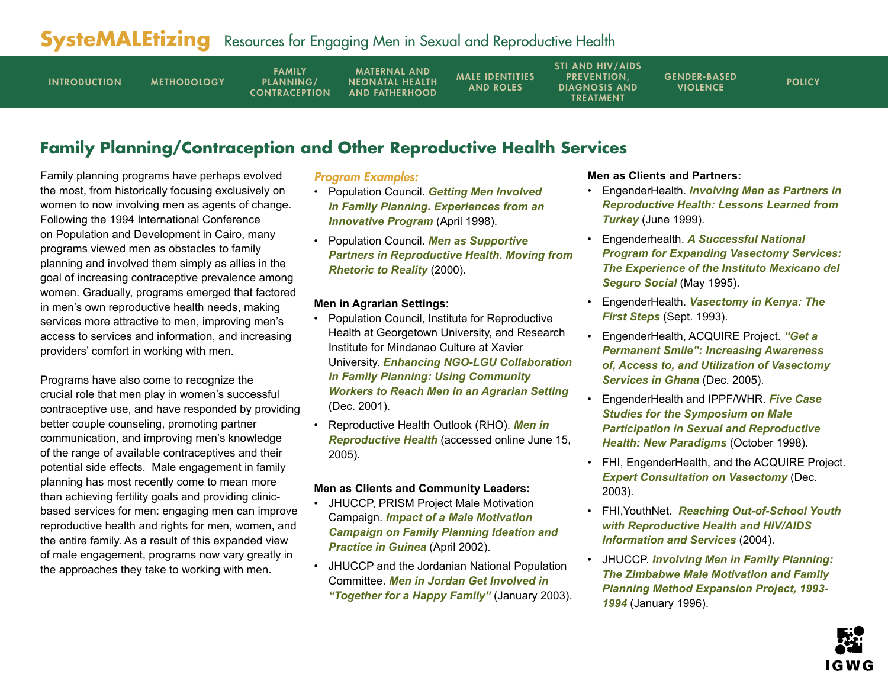<span id="page-3-0"></span>

| <b>INTRODUCTION</b> | <b>FAMILY</b><br>PLANNING/<br><b>METHODOLOGY</b><br><b>CONTRACEPTION</b> | <b>MATERNAL AND</b><br><b>NEONATAL HEALTH</b><br><b>AND FATHERHOOD</b> | <b>MALE IDENTITIES</b><br>AND ROLES | <b>STI AND HIV/AIDS</b><br><b>PREVENTION.</b><br><b>DIAGNOSIS AND</b><br><b>TREATMENT</b> | <b>GENDER-BASED</b><br><b>VIOLENCE</b> | <b>POLICY</b> |
|---------------------|--------------------------------------------------------------------------|------------------------------------------------------------------------|-------------------------------------|-------------------------------------------------------------------------------------------|----------------------------------------|---------------|
|                     |                                                                          |                                                                        |                                     |                                                                                           |                                        |               |

## **Family Planning/Contraception and Other Reproductive Health Services**

Family planning programs have perhaps evolved the most, from historically focusing exclusively on women to now involving men as agents of change. Following the 1994 International Conference on Population and Development in Cairo, many programs viewed men as obstacles to family planning and involved them simply as allies in the goal of increasing contraceptive prevalence among women. Gradually, programs emerged that factored in men's own reproductive health needs, making services more attractive to men, improving men's access to services and information, and increasing providers' comfort in working with men.

Programs have also come to recognize the crucial role that men play in women's successful contraceptive use, and have responded by providing better couple counseling, promoting partner communication, and improving men's knowledge of the range of available contraceptives and their potential side effects. Male engagement in family planning has most recently come to mean more than achieving fertility goals and providing clinicbased services for men: engaging men can improve reproductive health and rights for men, women, and the entire family. As a result of this expanded view of male engagement, programs now vary greatly in the approaches they take to working with men.

### Program Examples:

- Population Council. *[Getting Men Involved](www.popcouncil.org/pdfs/frontiers/OR_TA/Asia/bangla_menFP.pdf)  [in Family Planning. Experiences from an](www.popcouncil.org/pdfs/frontiers/OR_TA/Asia/bangla_menFP.pdf)  [Innovative Program](www.popcouncil.org/pdfs/frontiers/OR_TA/Asia/bangla_menFP.pdf)* (April 1998).
- Population Council. *[Men as Supportive](www.popcouncil.org/pdfs/menaspartners.pdf)  [Partners in Reproductive Health. Moving from](www.popcouncil.org/pdfs/menaspartners.pdf)  [Rhetoric to Reality](www.popcouncil.org/pdfs/menaspartners.pdf)* (2000).

#### **Men in Agrarian Settings:**

- Population Council, Institute for Reproductive Health at Georgetown University, and Research Institute for Mindanao Culture at Xavier University. *[Enhancing NGO-LGU Collaboration](http://pdf.dec.org/pdf_docs/PNACN613.pdf)  [in Family Planning: Using Community](http://pdf.dec.org/pdf_docs/PNACN613.pdf)  [Workers to Reach Men in an Agrarian Setting](http://pdf.dec.org/pdf_docs/PNACN613.pdf)* (Dec. 2001).
- Reproductive Health Outlook (RHO). *[Men in](www.rho.org/html/menrh.htm)  [Reproductive Health](www.rho.org/html/menrh.htm)* (accessed online June 15, 2005).

### **Men as Clients and Community Leaders:**

- JHUCCP, PRISM Project Male Motivation Campaign. *[Impact of a Male Motivation](www.jhuccp.org/pubs/fr/13/13.pdf)  [Campaign on Family Planning Ideation and](www.jhuccp.org/pubs/fr/13/13.pdf)  [Practice in Guinea](www.jhuccp.org/pubs/fr/13/13.pdf)* (April 2002).
- JHUCCP and the Jordanian National Population Committee. *[Men in Jordan Get Involved in](www.jhuccp.org/pubs/ci/14/14.pdf)  ["Together for a Happy Family"](www.jhuccp.org/pubs/ci/14/14.pdf)* (January 2003).

#### **Men as Clients and Partners:**

- EngenderHealth. *[Involving Men as Partners in](www.engenderhealth.org/pubs/workpap/wp12/wp_12.html)  [Reproductive Health: Lessons Learned from](www.engenderhealth.org/pubs/workpap/wp12/wp_12.html)  [Turkey](www.engenderhealth.org/pubs/workpap/wp12/wp_12.html)* (June 1999).
- Engenderhealth. *[A Successful National](www.engenderhealth.org/pubs/workpap/wp8/wp_8.html)  [Program for Expanding Vasectomy Services:](www.engenderhealth.org/pubs/workpap/wp8/wp_8.html)  [The Experience of the Instituto Mexicano del](www.engenderhealth.org/pubs/workpap/wp8/wp_8.html)  [Seguro Social](www.engenderhealth.org/pubs/workpap/wp8/wp_8.html)* (May 1995).
- EngenderHealth. *[Vasectomy in Kenya: The](www.engenderhealth.org/pubs/workpap/wp4/wp_4.html)  [First Steps](www.engenderhealth.org/pubs/workpap/wp4/wp_4.html)* (Sept. 1993).
- EngenderHealth, ACQUIRE Project. *["Get a](www.acquireproject.org/fileadmin/user_upload/ACQUIRE/Ghana/Ghana_Report_final.pdf)  [Permanent Smile": Increasing Awareness](www.acquireproject.org/fileadmin/user_upload/ACQUIRE/Ghana/Ghana_Report_final.pdf)  [of, Access to, and Utilization of Vasectomy](www.acquireproject.org/fileadmin/user_upload/ACQUIRE/Ghana/Ghana_Report_final.pdf)  [Services in Ghana](www.acquireproject.org/fileadmin/user_upload/ACQUIRE/Ghana/Ghana_Report_final.pdf)* (Dec. 2005).
- EngenderHealth and IPPF/WHR. *[Five Case](www.ippfwhr.org/publications/download/monographs/mi_symp_casestudies_e.pdf)  [Studies for the Symposium on Male](www.ippfwhr.org/publications/download/monographs/mi_symp_casestudies_e.pdf)  [Participation in Sexual and Reproductive](www.ippfwhr.org/publications/download/monographs/mi_symp_casestudies_e.pdf)  [Health: New Paradigms](www.ippfwhr.org/publications/download/monographs/mi_symp_casestudies_e.pdf)* (October 1998).
- FHI, EngenderHealth, and the ACQUIRE Project. *[Expert Consultation on Vasectomy](www.fhi.org/NR/rdonlyres/eralk5rduf3jcstq764li6xahuwtij3egzrv7ehg7ojl5gfirhddi3nbx27dylsqafzh6x7srij5nm/vasectomyproceedings.pdf)* (Dec. 2003).
- FHI,YouthNet. *[Reaching Out-of-School Youth](www.fhi.org/NR/rdonlyres/egkwwx7wo3ry3o5vwgn6bhsxcbir5fxzr2f23ke7r2dmnts2koqs6isgvbsydjlyiuh5i33gmunfbh/YI4final.pdf)  [with Reproductive Health and HIV/AIDS](www.fhi.org/NR/rdonlyres/egkwwx7wo3ry3o5vwgn6bhsxcbir5fxzr2f23ke7r2dmnts2koqs6isgvbsydjlyiuh5i33gmunfbh/YI4final.pdf)  [Information and Services](www.fhi.org/NR/rdonlyres/egkwwx7wo3ry3o5vwgn6bhsxcbir5fxzr2f23ke7r2dmnts2koqs6isgvbsydjlyiuh5i33gmunfbh/YI4final.pdf)* (2004).
- JHUCCP. *[Involving Men in Family Planning:](http://pdf.dec.org/pdf_docs/PNACG652.pdf)  [The Zimbabwe Male Motivation and Family](http://pdf.dec.org/pdf_docs/PNACG652.pdf)  [Planning Method Expansion Project,](http://pdf.dec.org/pdf_docs/PNACG652.pdf) 1993- 1994* (January 1996).

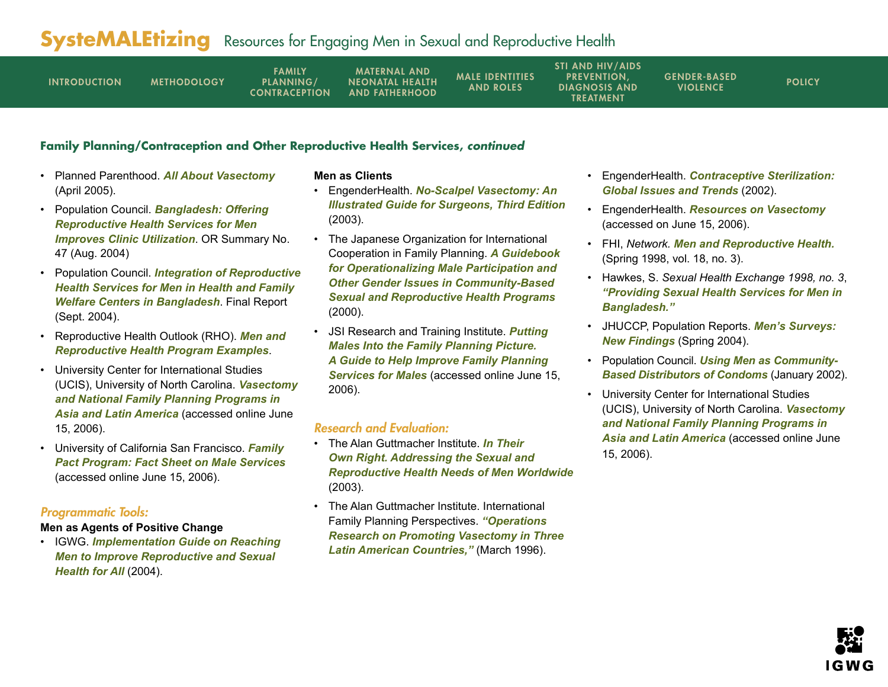| <b>INTRODUCTION</b> | <b>METHODOLOGY</b> | <b>FAMILY</b><br>PLANNING/<br><b>CONTRACEPTION</b> | <b>MATERNAL AND</b><br><b>NEONATAL HEALTH</b><br><b>AND FATHERHOOD</b> | <b>MALE IDENTITIES</b><br><b>AND ROLES</b> | <b>STI AND HIV/AIDS</b><br><b>PREVENTION.</b><br><b>DIAGNOSIS AND</b><br><b>TREATMENT</b> | <b>GENDER-BASED</b><br><b>VIOLENCE</b> | <b>POLICY</b> |
|---------------------|--------------------|----------------------------------------------------|------------------------------------------------------------------------|--------------------------------------------|-------------------------------------------------------------------------------------------|----------------------------------------|---------------|
|---------------------|--------------------|----------------------------------------------------|------------------------------------------------------------------------|--------------------------------------------|-------------------------------------------------------------------------------------------|----------------------------------------|---------------|

### **Family Planning/Contraception and Other Reproductive Health Services, continued**

- Planned Parenthood. *[All About Vasectomy](www.plannedparenthood.org/pp2/portal/files/portal/medicalinfo/birthcontrol/pub-contraception-vasectomy.xml)* (April 2005).
- Population Council. *[Bangladesh: Offering](www.popcouncil.org/frontiers/orsummaries/ors47.html)  [Reproductive Health Services for Men](www.popcouncil.org/frontiers/orsummaries/ors47.html)  [Improves Clinic Utilization](www.popcouncil.org/frontiers/orsummaries/ors47.html)*. OR Summary No. 47 (Aug. 2004)
- Population Council. *[Integration of Reproductive](www.popcouncil.org/pdfs/frontiers/FR_FinalReports/Bangladesh_Male%20Involvement.pdf) [Health Services for Men in Health and Family](www.popcouncil.org/pdfs/frontiers/FR_FinalReports/Bangladesh_Male%20Involvement.pdf)  [Welfare Centers in Bangladesh](www.popcouncil.org/pdfs/frontiers/FR_FinalReports/Bangladesh_Male%20Involvement.pdf)*. Final Report (Sept. 2004).
- Reproductive Health Outlook (RHO). *[Men and](www.rho.org/html/menrh_progexamples.htm)  [Reproductive Health Program Examples](www.rho.org/html/menrh_progexamples.htm)*.
- University Center for International Studies (UCIS), [University of North Carolina.](www.ucis.unc.edu/resources/pubs/carolina/vasect.pdf) *Vasectomy [and National Family Planning Programs in](www.ucis.unc.edu/resources/pubs/carolina/vasect.pdf)  [Asia and Latin America](www.ucis.unc.edu/resources/pubs/carolina/vasect.pdf)* (accessed online June 15, 2006).
- University of California San Francisco. *[Family](http://reprohealth.ucsf.edu/publications/files/FP_Male_Services.pdf)  [Pact Program: Fact Sheet on Male Services](http://reprohealth.ucsf.edu/publications/files/FP_Male_Services.pdf)* (accessed online June 15, 2006).

#### Programmatic Tools:

#### **Men as Agents of Positive Change**

• IGWG. *[Implementation Guide on Reaching](www.igwg.org/pubstools/pubs-reachingmen.htm)  [Men to Improve Reproductive and Sexual](www.igwg.org/pubstools/pubs-reachingmen.htm)  [Health for All](www.igwg.org/pubstools/pubs-reachingmen.htm)* (2004).

#### **Men as Clients**

- EngenderHealth. *[No-Scalpel Vasectomy: An](www.engenderhealth.org/res/offc/steril/nsv/index.html)  [Illustrated Guide for Surgeons, Third Edition](www.engenderhealth.org/res/offc/steril/nsv/index.html)* (2003).
- The Japanese Organization for International Cooperation in Family Planning. *[A Guidebook](www.joicfp.or.jp/eng/publications/africa_guide_2.shtml)  [for Operationalizing Male Participation and](www.joicfp.or.jp/eng/publications/africa_guide_2.shtml)  [Other Gender Issues in Community-Based](www.joicfp.or.jp/eng/publications/africa_guide_2.shtml)  [Sexual and Reproductive Health Programs](www.joicfp.or.jp/eng/publications/africa_guide_2.shtml)* (2000).
- JSI Research and Training Institute. *[Putting](http://www.region8familyplanning.org/materials/puttingmales.pdf)  [Males Into the Family Planning Picture.](http://www.region8familyplanning.org/materials/puttingmales.pdf)  [A Guide to Help Improve Family Planning](http://www.region8familyplanning.org/materials/puttingmales.pdf)  [Services for Males](http://www.region8familyplanning.org/materials/puttingmales.pdf)* (accessed online June 15, 2006).

- The Alan Guttmacher Institute. *[In Their](www.agi-usa.org/pubs/itor_intl.pdf)  [Own Right. Addressing the Sexual and](www.agi-usa.org/pubs/itor_intl.pdf)  [Reproductive Health Needs of Men Worldwide](www.agi-usa.org/pubs/itor_intl.pdf)* (2003).
- The Alan Guttmacher Institute. [International](www.guttmacher.org/pubs/journals/2202696.pdf)  [Family Planning Perspectives.](www.guttmacher.org/pubs/journals/2202696.pdf) *"Operations [Research on Promoting Vasectomy in Three](www.guttmacher.org/pubs/journals/2202696.pdf)  [Latin American Countries,"](www.guttmacher.org/pubs/journals/2202696.pdf)* (March 1996).
- EngenderHealth. *[Contraceptive Sterilization:](www.engenderhealth.org/res/offc/steril/factbook/index.html)  [Global Issues and Trends](www.engenderhealth.org/res/offc/steril/factbook/index.html)* (2002).
- EngenderHealth. *[Resources on Vasectomy](www.engenderhealth.org/ia/wwm/empubs.html#vasectomy)* (accessed on June 15, 2006).
- FHI, *Network. [Men and Reproductive Health.](www.fhi.org/en/RH/Pubs/Network/v18_3/index.htm)* (Spring 1998, vol. 18, no. 3).
- Hawkes, S. *Sexual Health Exchange 1998, no. 3*, *["Providing Sexual Health Services for Men in](www.kit.nl/ils/exchange_content/html/1998_3_providing_sexual_health.asp)  [Bangladesh."](www.kit.nl/ils/exchange_content/html/1998_3_providing_sexual_health.asp)*
- JHUCCP, Population Reports. *[Men's Surveys:](www.infoforhealth.org/pr/m18/)  [New Findings](www.infoforhealth.org/pr/m18/)* (Spring 2004).
- Population Council. *[Using Men as Community-](www.popcouncil.org/pdfs/frontiers/pbriefs/male_CBDs_brf.pdf)[Based Distributors of Condoms](www.popcouncil.org/pdfs/frontiers/pbriefs/male_CBDs_brf.pdf)* (January 2002).
- University Center for International Studies (UCIS), University of North Carolina. *[Vasectomy](www.ucis.unc.edu/resources/pubs/carolina/vasect.pdf)  [and National Family Planning Programs in](www.ucis.unc.edu/resources/pubs/carolina/vasect.pdf)  [Asia and Latin America](www.ucis.unc.edu/resources/pubs/carolina/vasect.pdf)* (accessed online June 15, 2006).

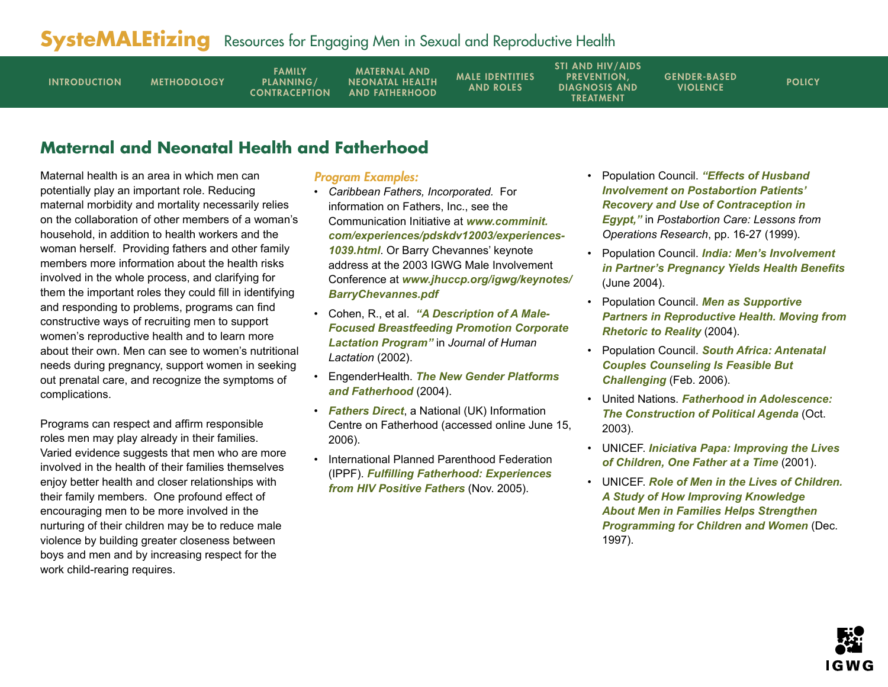<span id="page-5-0"></span>

| <b>FAMILY</b><br>PLANNING/<br><b>INTRODUCTION</b><br><b>METHODOLOGY</b><br><b>CONTRACEPTION</b> | <b>MATERNAL AND</b><br><b>NEONATAL HEALTH</b><br><b>AND FATHERHOOD</b> | <b>MALE IDENTITIES</b><br><b>AND ROLES</b> | <b>STI AND HIV/AIDS</b><br><b>PREVENTION.</b><br><b>DIAGNOSIS AND</b><br><b>TREATMENT</b> | <b>GENDER-BASED</b><br><b>VIOLENCE</b> | <b>POLICY</b> |
|-------------------------------------------------------------------------------------------------|------------------------------------------------------------------------|--------------------------------------------|-------------------------------------------------------------------------------------------|----------------------------------------|---------------|
|-------------------------------------------------------------------------------------------------|------------------------------------------------------------------------|--------------------------------------------|-------------------------------------------------------------------------------------------|----------------------------------------|---------------|

## **Maternal and Neonatal Health and Fatherhood**

Maternal health is an area in which men can potentially play an important role. Reducing maternal morbidity and mortality necessarily relies on the collaboration of other members of a woman's household, in addition to health workers and the woman herself. Providing fathers and other family members more information about the health risks involved in the whole process, and clarifying for them the important roles they could fill in identifying and responding to problems, programs can find constructive ways of recruiting men to support women's reproductive health and to learn more about their own. Men can see to women's nutritional needs during pregnancy, support women in seeking out prenatal care, and recognize the symptoms of complications.

Programs can respect and affirm responsible roles men may play already in their families. Varied evidence suggests that men who are more involved in the health of their families themselves enjoy better health and closer relationships with their family members. One profound effect of encouraging men to be more involved in the nurturing of their children may be to reduce male violence by building greater closeness between boys and men and by increasing respect for the work child-rearing requires.

### Program Examples:

- *Caribbean Fathers, Incorporated.* For information on Fathers, Inc., see the Communication Initiative at *[www.comminit.](www.comminit.com/experiences/pdskdv12003/experiences-1039.html) [com/experiences/pdskdv12003/experiences-](www.comminit.com/experiences/pdskdv12003/experiences-1039.html)[1039.html](www.comminit.com/experiences/pdskdv12003/experiences-1039.html)*. Or Barry Chevannes' keynote address at the 2003 IGWG Male Involvement Conference at *[www.jhuccp.org/igwg/keynotes/](www.jhuccp.org/igwg/keynotes/BarryChevannes.pdf ) [BarryChevannes.pdf](www.jhuccp.org/igwg/keynotes/BarryChevannes.pdf )*
- Cohen, R., et al. *["A Description of A Male-](http://jhl.sagepub.com/cgi/reprint/18/1/61)[Focused Breastfeeding Promotion Corporate](http://jhl.sagepub.com/cgi/reprint/18/1/61)  [Lactation Program"](http://jhl.sagepub.com/cgi/reprint/18/1/61)* in *Journal of Human Lactation* (2002).
- EngenderHealth. *[The New Gender Platforms](www.engenderhealth.org/ia/wwm/pdf/map_newgenderplatforms.pdf)  [and Fatherhood](www.engenderhealth.org/ia/wwm/pdf/map_newgenderplatforms.pdf)* (2004).
- *[Fathers Direct](www.fathersdirect.com/)*, a National (UK) Information Centre on Fatherhood (accessed online June 15, 2006).
- International Planned Parenthood Federation (IPPF). *[Fulfilling Fatherhood: Experiences](www.ippf.org/downloads/HIV/FulfillingFatherhood.pdf)  [from HIV Positive Fathers](www.ippf.org/downloads/HIV/FulfillingFatherhood.pdf)* (Nov. 2005).
- Population Council. *["Effects of Husband](www.popcouncil.org/pdfs/pac_lessons.pdf)  [Involvement on Postabortion Patients'](www.popcouncil.org/pdfs/pac_lessons.pdf)  [Recovery and Use of Contraception in](www.popcouncil.org/pdfs/pac_lessons.pdf)  [Egypt,"](www.popcouncil.org/pdfs/pac_lessons.pdf)* in *Postabortion Care: Lessons from Operations Research*, pp. 16-27 (1999).
- Population Council. *India: [Men's Involvement](www.popcouncil.org/frontiers/orsummaries/ors45.html)  [in Partner's Pregnancy Yields Health Benefits](www.popcouncil.org/frontiers/orsummaries/ors45.html)* (June 2004).
- Population Council. *[Men as Supportive](www.popcouncil.org/pdfs/menaspartners.pdf)  [Partners in Reproductive Health. Moving from](www.popcouncil.org/pdfs/menaspartners.pdf)  [Rhetoric to Reality](www.popcouncil.org/pdfs/menaspartners.pdf)* (2004).
- Population Council. *[South Africa: Antenatal](www.popcouncil.org/frontiers/orsummaries/ors58.html)  [Couples Counseling Is Feasible But](www.popcouncil.org/frontiers/orsummaries/ors58.html)  [Challenging](www.popcouncil.org/frontiers/orsummaries/ors58.html)* (Feb. 2006).
- United Nations. *[Fatherhood in Adolescence:](www.un.org/womenwatch/daw/egm/men-boys2003/EP14-Lyra.pdf)  [The Construction of Political Agenda](www.un.org/womenwatch/daw/egm/men-boys2003/EP14-Lyra.pdf)* (Oct. 2003).
- UNICEF. *[Iniciativa Papa: Improving the Lives](www.unicef.org/sowc01/panels/panel4.htm)  [of Children, One Father at a Time](www.unicef.org/sowc01/panels/panel4.htm)* (2001).
- UNICEF. *[Role of Men in the Lives of Children.](www.unicef.org/evaldatabase/Global_1997_Role_of_Men.pdf)  [A Study of How Improving Knowledge](www.unicef.org/evaldatabase/Global_1997_Role_of_Men.pdf)  [About Men in Families Helps Strengthen](www.unicef.org/evaldatabase/Global_1997_Role_of_Men.pdf)  [Programming for Children and Women](www.unicef.org/evaldatabase/Global_1997_Role_of_Men.pdf)* (Dec. 1997).

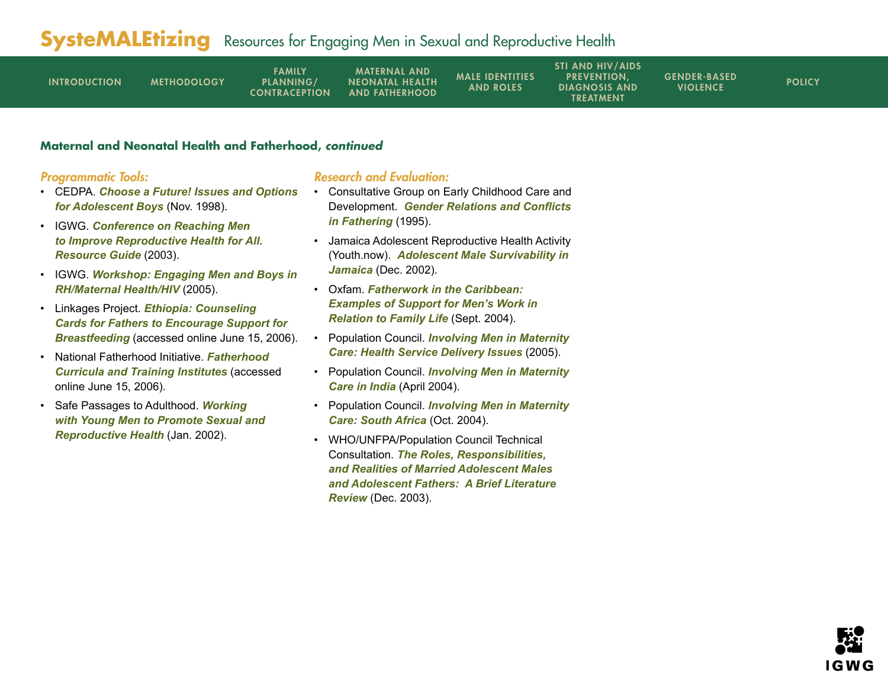| <b>INTRODUCTION</b> | <b>METHODOLOGY</b> | <b>FAMILY</b><br><b>PLANNING/</b><br><b>CONTRACEPTION</b> | <b>MATERNAL AND</b><br><b>NEONATAL HEALTH</b><br><b>AND FATHERHOOD</b> | <b>MALE IDENTITIES</b><br><b>AND ROLES</b> | <b>STI AND HIV/AIDS</b><br><b>PREVENTION.</b><br><b>DIAGNOSIS AND</b><br>TREATMENT | <b>GENDER-BASED</b><br><b>VIOLENCE</b> | <b>POLICY</b> |
|---------------------|--------------------|-----------------------------------------------------------|------------------------------------------------------------------------|--------------------------------------------|------------------------------------------------------------------------------------|----------------------------------------|---------------|
|---------------------|--------------------|-----------------------------------------------------------|------------------------------------------------------------------------|--------------------------------------------|------------------------------------------------------------------------------------|----------------------------------------|---------------|

#### **Maternal and Neonatal Health and Fatherhood, continued**

### Programmatic Tools:

- CEDPA. *[Choose a Future! Issues and Options](www.cedpa.org/content/general/detail/681/)  [for Adolescent Boys](www.cedpa.org/content/general/detail/681/)* (Nov. 1998).
- IGWG. *[Conference on Reaching Men](www.igwg.org/eventstrain/conf.htm)  [to Improve Reproductive Health for All.](www.igwg.org/eventstrain/conf.htm)  [Resource Guide](www.igwg.org/eventstrain/conf.htm)* (2003).
- IGWG. *[Workshop: Engaging Men and Boys in](www.igwg.org/eventstrain/engangingmenandboys.htm)  [RH/Maternal Health/HIV](www.igwg.org/eventstrain/engangingmenandboys.htm)* (2005).
- Linkages Project. *[Ethiopia: Counseling](www.linkagesproject.org/media/publications/Tools/Ethiopia-counseling-cards-fathers.pdf)  [Cards for Fathers to Encourage Support for](www.linkagesproject.org/media/publications/Tools/Ethiopia-counseling-cards-fathers.pdf)  [Breastfeeding](www.linkagesproject.org/media/publications/Tools/Ethiopia-counseling-cards-fathers.pdf)* (accessed online June 15, 2006).
- National Fatherhood Initiative. *[Fatherhood](www.fatherhood.org/training.asp)  [Curricula and Training Institutes](www.fatherhood.org/training.asp)* (accessed online June 15, 2006).
- Safe Passages to Adulthood. *[Working](www.socstats.soton.ac.uk/cshr/pdf/guidelines/workingwithymen.pdf)  [with Young Men to Promote Sexual and](www.socstats.soton.ac.uk/cshr/pdf/guidelines/workingwithymen.pdf)  [Reproductive Health](www.socstats.soton.ac.uk/cshr/pdf/guidelines/workingwithymen.pdf)* (Jan. 2002).

- Consultative Group on Early Childhood Care and Development. *[Gender Relations and Conflicts](www.ecdgroup.com/download/ca116bgc.pdf)  [in Fathering](www.ecdgroup.com/download/ca116bgc.pdf)* (1995).
- Jamaica Adolescent Reproductive Health Activity (Youth.now). *[Adolescent Male Survivability in](www.futuresgroup.com/Documents/3141MALE.pdf)  [Jamaica](www.futuresgroup.com/Documents/3141MALE.pdf)* (Dec. 2002).
- Oxfam. *[Fatherwork in the Caribbean:](www.oxfam.org.uk/what_we_do/resources/downloads/gem_brown.pdf)  [Examples of Support for Men's Work in](www.oxfam.org.uk/what_we_do/resources/downloads/gem_brown.pdf)  [Relation to Family Life](www.oxfam.org.uk/what_we_do/resources/downloads/gem_brown.pdf)* (Sept. 2004).
- Population Council. *[Involving Men in Maternity](www.popcouncil.org/pdfs/frontiers/journals/Agenda_Mullick05.pdf)  [Care: Health Service Delivery Issues](www.popcouncil.org/pdfs/frontiers/journals/Agenda_Mullick05.pdf)* (2005).
- Population Council. *[Involving Men in Maternity](www.popcouncil.org/pdfs/frontiers/FR_FinalReports/Indi_MIM.pdf)  [Care in India](www.popcouncil.org/pdfs/frontiers/FR_FinalReports/Indi_MIM.pdf)* (April 2004).
- Population Council. *[Involving Men in Maternity](www.popcouncil.org/pdfs/FRONTIERS/FR_FinalReports/SA_MIM.pdf)  [Care: South Africa](www.popcouncil.org/pdfs/FRONTIERS/FR_FinalReports/SA_MIM.pdf)* (Oct. 2004).
- WHO/UNFPA/Population Council Technical Consultation. *[The Roles, Responsibilities,](www.popcouncil.org/pdfs/MA-Fathers_Adol_Men.pdf)  [and Realities of Married Adolescent Males](www.popcouncil.org/pdfs/MA-Fathers_Adol_Men.pdf)  [and Adolescent Fathers: A Brief Literature](www.popcouncil.org/pdfs/MA-Fathers_Adol_Men.pdf)  [Review](www.popcouncil.org/pdfs/MA-Fathers_Adol_Men.pdf)* (Dec. 2003).

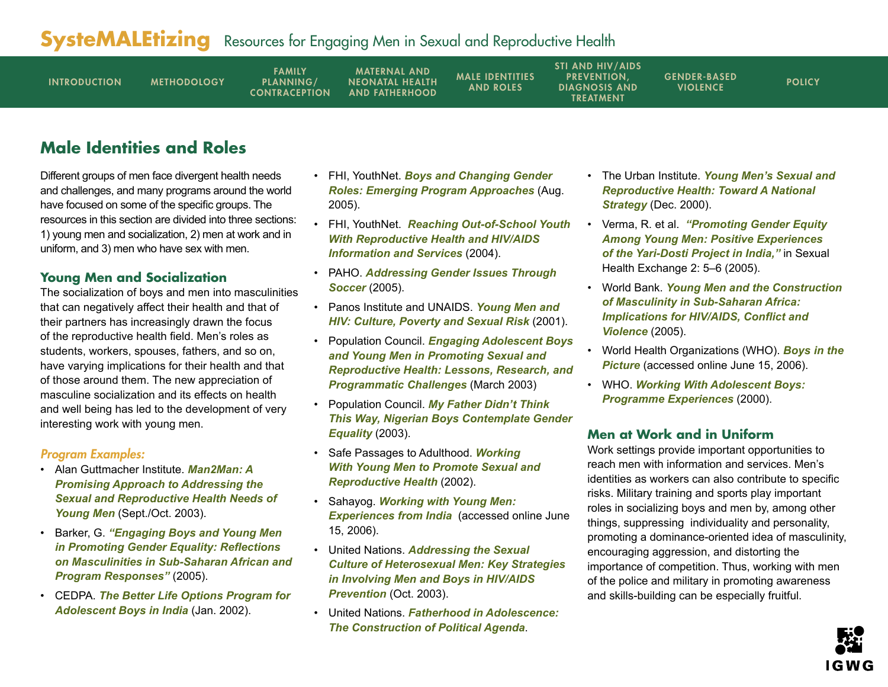<span id="page-7-0"></span>

| <b>INTRODUCTION</b> | <b>METHODOLOGY</b> | <b>FAMILY</b><br>PLANNING/<br><b>CONTRACEPTION</b> | <b>MATERNAL AND</b><br><b>NEONATAL HEALTH</b><br><b>AND FATHERHOOD</b> | <b>MALE IDENTITIES</b><br><b>AND ROLES</b> | <b>STI AND HIV/AIDS</b><br><b>PREVENTION.</b><br><b>DIAGNOSIS AND</b><br><b>TREATMENT</b> | <b>GENDER-BASED</b><br><b>VIOLENCE</b> | <b>POLICY</b> |
|---------------------|--------------------|----------------------------------------------------|------------------------------------------------------------------------|--------------------------------------------|-------------------------------------------------------------------------------------------|----------------------------------------|---------------|
|---------------------|--------------------|----------------------------------------------------|------------------------------------------------------------------------|--------------------------------------------|-------------------------------------------------------------------------------------------|----------------------------------------|---------------|

## **Male Identities and Roles**

Different groups of men face divergent health needs and challenges, and many programs around the world have focused on some of the specific groups. The resources in this section are divided into three sections: 1) young men and socialization, 2) men at work and in uniform, and 3) men who have sex with men.

## **Young Men and Socialization**

The socialization of boys and men into masculinities that can negatively affect their health and that of their partners has increasingly drawn the focus of the reproductive health field. Men's roles as students, workers, spouses, fathers, and so on, have varying implications for their health and that of those around them. The new appreciation of masculine socialization and its effects on health and well being has led to the development of very interesting work with young men.

## Program Examples:

- Alan Guttmacher Institute. *[Man2Man: A](www.guttmacher.org/pubs/journals/3521503.html)  [Promising Approach to Addressing the](www.guttmacher.org/pubs/journals/3521503.html)  [Sexual and Reproductive Health Needs of](www.guttmacher.org/pubs/journals/3521503.html)  [Young Men](www.guttmacher.org/pubs/journals/3521503.html)* (Sept./Oct. 2003).
- Barker, G. *["Engaging Boys and Young Men](www.rb.se/NR/rdonlyres/3AE599E1-3FB8-49A0-A341-A8A2E23281C4/0/Engagingboysandyoungmeninpromotinggenderequality.pdf)  [in Promoting Gender Equality: Reflections](www.rb.se/NR/rdonlyres/3AE599E1-3FB8-49A0-A341-A8A2E23281C4/0/Engagingboysandyoungmeninpromotinggenderequality.pdf)  [on Masculinities in Sub-Saharan African and](www.rb.se/NR/rdonlyres/3AE599E1-3FB8-49A0-A341-A8A2E23281C4/0/Engagingboysandyoungmeninpromotinggenderequality.pdf)  [Program Responses](www.rb.se/NR/rdonlyres/3AE599E1-3FB8-49A0-A341-A8A2E23281C4/0/Engagingboysandyoungmeninpromotinggenderequality.pdf)"* (2005).
- CEDPA. *[The Better Life Options Program for](www.cedpa.org/content/general/detail/753/)  [Adolescent Boys in India](www.cedpa.org/content/general/detail/753/)* (Jan. 2002).
- FHI, YouthNet. *[Boys and Changing Gender](www.fhi.org/NR/rdonlyres/ebi4gbgdtwxeotyfwshe4wdqg6fsfgzvignbgamvnu4mz42mjlqcftpkvtw35ry53fm2kgbczb6mcd/YL16e.pdf)  [Roles: Emerging Program Approaches](www.fhi.org/NR/rdonlyres/ebi4gbgdtwxeotyfwshe4wdqg6fsfgzvignbgamvnu4mz42mjlqcftpkvtw35ry53fm2kgbczb6mcd/YL16e.pdf)* (Aug. 2005).
- FHI, YouthNet. *[Reaching Out-of-School Youth](www.fhi.org/NR/rdonlyres/egkwwx7wo3ry3o5vwgn6bhsxcbir5fxzr2f23ke7r2dmnts2koqs6isgvbsydjlyiuh5i33gmunfbh/YI4final.pdf)  [With Reproductive Health and HIV/AIDS](www.fhi.org/NR/rdonlyres/egkwwx7wo3ry3o5vwgn6bhsxcbir5fxzr2f23ke7r2dmnts2koqs6isgvbsydjlyiuh5i33gmunfbh/YI4final.pdf)  [Information and Services](www.fhi.org/NR/rdonlyres/egkwwx7wo3ry3o5vwgn6bhsxcbir5fxzr2f23ke7r2dmnts2koqs6isgvbsydjlyiuh5i33gmunfbh/YI4final.pdf)* (2004).
- PAHO. *[Addressing Gender Issues Through](www.paho.org/English/AD/FCH/CA/HIVApril05.pdf)  [Soccer](www.paho.org/English/AD/FCH/CA/HIVApril05.pdf)* (2005).
- Panos Institute and UNAIDS. *[Young Men and](www.panos.org.uk/files/youngmenandhivculture.pdf)  [HIV: Culture, Poverty and Sexual Risk](www.panos.org.uk/files/youngmenandhivculture.pdf)* (2001).
- Population Council. *[Engaging Adolescent Boys](www.popcouncil.org/pdfs/AYSRH/6.pdf)  [and Young Men in Promoting Sexual and](www.popcouncil.org/pdfs/AYSRH/6.pdf)  [Reproductive Health: Lessons, Research, and](www.popcouncil.org/pdfs/AYSRH/6.pdf)  [Programmatic Challenges](www.popcouncil.org/pdfs/AYSRH/6.pdf)* (March 2003)
- Population Council. *[My Father Didn't Think](www.popcouncil.org/pdfs/qcq/qcq14.pdf)  [This Way, Nigerian Boys Contemplate Gender](www.popcouncil.org/pdfs/qcq/qcq14.pdf)  [Equality](www.popcouncil.org/pdfs/qcq/qcq14.pdf)* (2003).
- Safe Passages to Adulthood. *[Working](www.socstats.soton.ac.uk/cshr/pdfs/workingwithymen.pdf)  [With Young Men to Promote Sexual and](www.socstats.soton.ac.uk/cshr/pdfs/workingwithymen.pdf)  [Reproductive Health](www.socstats.soton.ac.uk/cshr/pdfs/workingwithymen.pdf)* (2002).
- Sahayog. *[Working with Young Men:](www.sahayogindia.org/MAN.ppt)  [Experiences from India](www.sahayogindia.org/MAN.ppt)* (accessed online June 15, 2006).
- United Nations. *[Addressing the Sexual](www.un.org/womenwatch/daw/egm/men-boys2003/EP6-Flood.pdf)  [Culture of Heterosexual Men: Key Strategies](www.un.org/womenwatch/daw/egm/men-boys2003/EP6-Flood.pdf)  [in Involving Men and Boys in HIV/AIDS](www.un.org/womenwatch/daw/egm/men-boys2003/EP6-Flood.pdf)  [Prevention](www.un.org/womenwatch/daw/egm/men-boys2003/EP6-Flood.pdf)* (Oct. 2003).
- United Nations. *[Fatherhood in Adolescence:](www.un.org/womenwatch/daw/egm/men-boys2003/EP14-Lyra.pdf)  [The Construction of Political Agenda](www.un.org/womenwatch/daw/egm/men-boys2003/EP14-Lyra.pdf)*.
- The Urban Institute. *[Young Men's Sexual and](www.urban.org/UploadedPDF/410027.pdf)  [Reproductive Health: Toward A National](www.urban.org/UploadedPDF/410027.pdf)  [Strategy](www.urban.org/UploadedPDF/410027.pdf)* (Dec. 2000).
- Verma, R. et al. *["Promoting Gender Equity](www.kit.nl/ils/exchange_content/html/2005-2_promoting_gender_equity.asp)  [Among Young Men: Positive Experiences](www.kit.nl/ils/exchange_content/html/2005-2_promoting_gender_equity.asp)  [of the Yari-Dosti Project in India,"](www.kit.nl/ils/exchange_content/html/2005-2_promoting_gender_equity.asp)* in Sexual Health Exchange 2: 5–6 (2005).
- World Bank. *[Young Men and the Construction](http://tinyurl.com/kqv6q)  [of Masculinity in Sub-Saharan Africa:](http://tinyurl.com/kqv6q)  [Implications for HIV/AIDS, Conflict and](http://tinyurl.com/kqv6q)  [Violence](http://tinyurl.com/kqv6q)* (2005).
- World Health Organizations (WHO). *[Boys in the](www.who.int/child-adolescent-	health/New_Publications/ADH/WHO_FCH_CAH_00.8.pdf)  [Picture](www.who.int/child-adolescent-	health/New_Publications/ADH/WHO_FCH_CAH_00.8.pdf)* (accessed online June 15, 2006).
- WHO. *[Working With Adolescent Boys:](www.who.int/child-adolescent-health/New_Publications/ADH/WHO_FCH_CAH_00.10.htm)  [Programme Experiences](www.who.int/child-adolescent-health/New_Publications/ADH/WHO_FCH_CAH_00.10.htm)* (2000).

## **Men at Work and in Uniform**

Work settings provide important opportunities to reach men with information and services. Men's identities as workers can also contribute to specific risks. Military training and sports play important roles in socializing boys and men by, among other things, suppressing individuality and personality, promoting a dominance-oriented idea of masculinity, encouraging aggression, and distorting the importance of competition. Thus, working with men of the police and military in promoting awareness and skills-building can be especially fruitful.

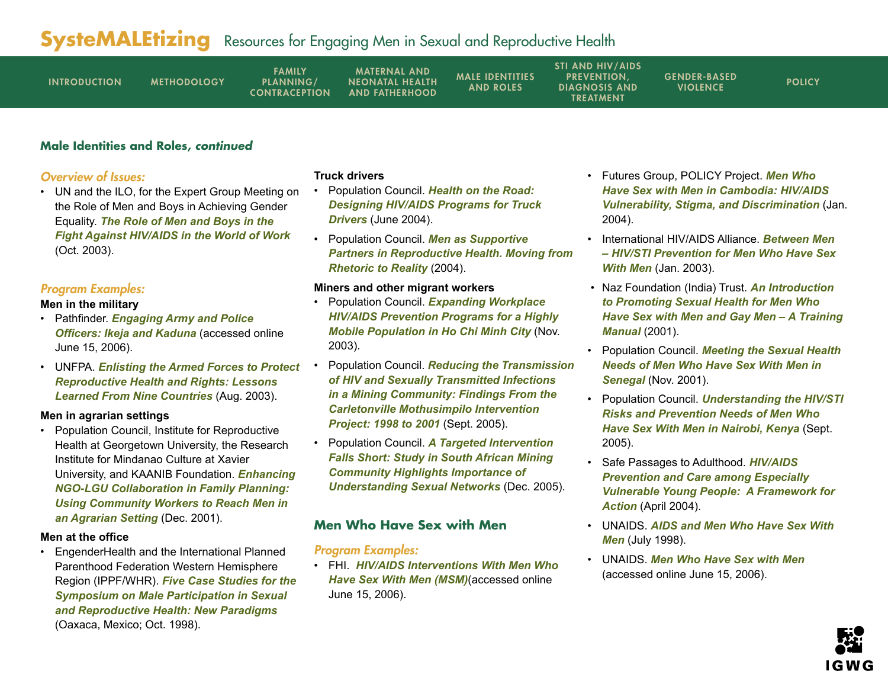| <b>INTRODUCTION</b> | <b>METHODOLOGY</b> | <b>FAMILY</b><br>PLANNING/<br><b>CONTRACEPTION</b> | <b>MATERNAL AND</b><br><b>NEONATAL HEALTH</b><br><b>AND FATHERHOOD</b> | <b>MALE IDENTITIES</b><br><b>AND ROLES</b> | <b>STI AND HIV/AIDS</b><br><b>PREVENTION.</b><br><b>DIAGNOSIS AND</b><br><b>TREATMENT</b> | <b>GENDER-BASED</b><br><b>VIOLENCE</b> | <b>POLICY</b> |
|---------------------|--------------------|----------------------------------------------------|------------------------------------------------------------------------|--------------------------------------------|-------------------------------------------------------------------------------------------|----------------------------------------|---------------|
|---------------------|--------------------|----------------------------------------------------|------------------------------------------------------------------------|--------------------------------------------|-------------------------------------------------------------------------------------------|----------------------------------------|---------------|

### **Male Identities and Roles, continued**

### Overview of Issues:

• UN and the ILO, for the Expert Group Meeting on the Role of Men and Boys in Achieving Gender Equality. *[The Role of Men and Boys in the](www.un.org/womenwatch/daw/egm/men-boys2003/WP3-ILO.pdf)  [Fight Against HIV/AIDS in the World of Work](www.un.org/womenwatch/daw/egm/men-boys2003/WP3-ILO.pdf)* (Oct. 2003).

## Program Examples:

#### **Men in the military**

- Pathfinder. *[Engaging Army and Police](www.pathfind.org/site/PageServer?pagename=Field_Office_Africa_Nigeria_Male_Involvement_Initiatives_Ikeja)  [Officers: Ikeja and Kaduna](www.pathfind.org/site/PageServer?pagename=Field_Office_Africa_Nigeria_Male_Involvement_Initiatives_Ikeja)* (accessed online June 15, 2006).
- UNFPA. *[Enlisting the Armed Forces to Protect](www.unfpa.org/rh/armedforces/index.html)  [Reproductive Health and Rights: Lessons](www.unfpa.org/rh/armedforces/index.html)  [Learned From Nine Countries](www.unfpa.org/rh/armedforces/index.html)* (Aug. 2003).

#### **Men in agrarian settings**

• Population Council, Institute for Reproductive Health at Georgetown University, the Research Institute for Mindanao Culture at Xavier University, and KAANIB Foundation. *[Enhancing](http://pdf.dec.org/pdf_docs/PNACN613.pdf)  [NGO-LGU Collaboration in Family Planning:](http://pdf.dec.org/pdf_docs/PNACN613.pdf)  [Using Community Workers to Reach Men in](http://pdf.dec.org/pdf_docs/PNACN613.pdf)  [an Agrarian Setting](http://pdf.dec.org/pdf_docs/PNACN613.pdf)* (Dec. 2001).

#### **Men at the office**

• EngenderHealth and the International Planned Parenthood Federation Western Hemisphere Region (IPPF/WHR). *[Five Case Studies for the](www.ippfwhr.org/publications/download/monographs/mi_symp_casestudies_e.pdf)  [Symposium on Male Participation in Sexual](www.ippfwhr.org/publications/download/monographs/mi_symp_casestudies_e.pdf)  [and Reproductive Health: New Paradigms](www.ippfwhr.org/publications/download/monographs/mi_symp_casestudies_e.pdf)* (Oaxaca, Mexico; Oct. 1998).

#### **Truck drivers**

- Population Council. *[Health on the Road:](www.popcouncil.org/horizons/newsletter/horizons(8)_3.html)  [Designing HIV/AIDS Programs for Truck](www.popcouncil.org/horizons/newsletter/horizons(8)_3.html)  [Drivers](www.popcouncil.org/horizons/newsletter/horizons(8)_3.html)* (June 2004).
- Population Council. *[Men as Supportive](www.popcouncil.org/pdfs/menaspartners.pdf)  [Partners in Reproductive Health. Moving from](www.popcouncil.org/pdfs/menaspartners.pdf)  [Rhetoric to Reality](www.popcouncil.org/pdfs/menaspartners.pdf)* (2004).

#### **Miners and other migrant workers**

- Population Council. *[Expanding Workplace](www.popcouncil.org/horizons/ressum/wrkplc/vtnmcnstrwrkr/vtnmcnstrwrkr_intro.html)  [HIV/AIDS Prevention Programs for a Highly](www.popcouncil.org/horizons/ressum/wrkplc/vtnmcnstrwrkr/vtnmcnstrwrkr_intro.html)  [Mobile Population in Ho Chi Minh City](www.popcouncil.org/horizons/ressum/wrkplc/vtnmcnstrwrkr/vtnmcnstrwrkr_intro.html)* (Nov. 2003).
- Population Council. *[Reducing the Transmission](www.popcouncil.org/pdfs/horizons/crltnvll.pdf )  [of HIV and Sexually Transmitted Infections](www.popcouncil.org/pdfs/horizons/crltnvll.pdf )  [in a Mining Community: Findings From the](www.popcouncil.org/pdfs/horizons/crltnvll.pdf )  [Carletonville Mothusimpilo Intervention](www.popcouncil.org/pdfs/horizons/crltnvll.pdf )  [Project: 1998 to 2001](www.popcouncil.org/pdfs/horizons/crltnvll.pdf )* (Sept. 2005).
- Population Council. *[A Targeted Intervention](www.popcouncil.org/horizons/newsletter/horizons(11)_5.html)  [Falls Short: Study in South African Mining](www.popcouncil.org/horizons/newsletter/horizons(11)_5.html)  [Community Highlights Importance of](www.popcouncil.org/horizons/newsletter/horizons(11)_5.html)  [Understanding Sexual Networks](www.popcouncil.org/horizons/newsletter/horizons(11)_5.html)* (Dec. 2005).

## **Men Who Have Sex with Men**

#### Program Examples:

• FHI. *[HIV/AIDS Interventions With Men Who](www.fhi.org/en/hivaids/pub/fact/intervenmsm.htm)  [Have Sex With Men \(MSM\)](www.fhi.org/en/hivaids/pub/fact/intervenmsm.htm)*(accessed online June 15, 2006).

- Futures Group, POLICY Project. *[Men Who](www.policyproject.com/pubs/countryreports/CAM_MSM.pdf)  [Have Sex with Men in Cambodia: HIV/AIDS](www.policyproject.com/pubs/countryreports/CAM_MSM.pdf)  [Vulnerability, Stigma, and Discrimination](www.policyproject.com/pubs/countryreports/CAM_MSM.pdf)* (Jan. 2004).
- International HIV/AIDS Alliance. *[Between Men](http://synkronweb.aidsalliance.org/graphics/secretariat/publications/msm0803_between_men_Eng.pdf)  [– HIV/STI Prevention for Men Who Have Sex](http://synkronweb.aidsalliance.org/graphics/secretariat/publications/msm0803_between_men_Eng.pdf)  [With Men](http://synkronweb.aidsalliance.org/graphics/secretariat/publications/msm0803_between_men_Eng.pdf)* (Jan. 2003).
- Naz Foundation (India) Trust. *[An Introduction](http://synkronweb.aidsalliance.org/graphics/secretariat/publications/msm1101_naz_msm_manual.pdf)  [to Promoting Sexual Health for Men Who](http://synkronweb.aidsalliance.org/graphics/secretariat/publications/msm1101_naz_msm_manual.pdf)  [Have Sex with Men and Gay Men – A Training](http://synkronweb.aidsalliance.org/graphics/secretariat/publications/msm1101_naz_msm_manual.pdf)  [Manual](http://synkronweb.aidsalliance.org/graphics/secretariat/publications/msm1101_naz_msm_manual.pdf)* (2001).
- Population Council. *[Meeting the Sexual Health](www.popcouncil.org/pdfs/horizons/msmsenegal.pdf)  [Needs of Men Who Have Sex With Men in](www.popcouncil.org/pdfs/horizons/msmsenegal.pdf)  [Senegal](www.popcouncil.org/pdfs/horizons/msmsenegal.pdf)* (Nov. 2001).
- Population Council. *[Understanding the HIV/STI](www.popcouncil.org/pdfs/horizons/msmkenya.pdf)  [Risks and Prevention Needs of Men Who](www.popcouncil.org/pdfs/horizons/msmkenya.pdf)  [Have Sex With Men in Nairobi, Kenya](www.popcouncil.org/pdfs/horizons/msmkenya.pdf)* (Sept. 2005).
- Safe Passages to Adulthood. *[HIV/AIDS](www.socstats.soton.ac.uk/cshr/pdfs/evypframework.pdf)  [Prevention and Care among Especially](www.socstats.soton.ac.uk/cshr/pdfs/evypframework.pdf)  [Vulnerable Young People: A Framework for](www.socstats.soton.ac.uk/cshr/pdfs/evypframework.pdf)  [Action](www.socstats.soton.ac.uk/cshr/pdfs/evypframework.pdf)* (April 2004).
- UNAIDS. *[AIDS and Men Who Have Sex With](http://data.unaids.org/Publications/IRC-pub05/msmpv_en.pdf)  [Men](http://data.unaids.org/Publications/IRC-pub05/msmpv_en.pdf)* (July 1998).
- UNAIDS. *[Men Who Have Sex with Men](www.unaids.org/en/Issues/Affected_communities/men_who_have_sex_with_men.asp)* (accessed online June 15, 2006).

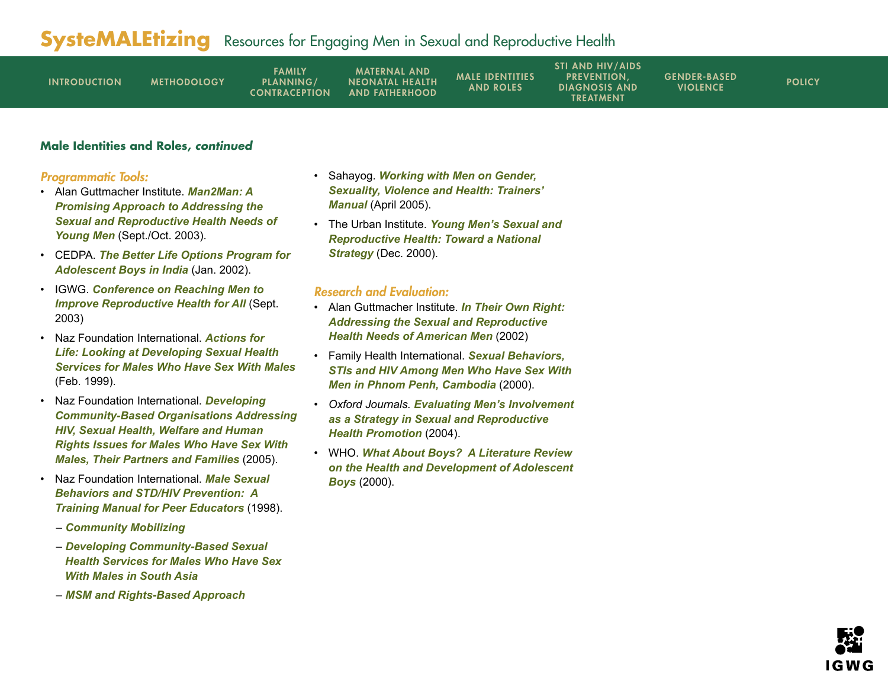| <b>INTRODUCTION</b> | <b>METHODOLOGY</b> | <b>FAMILY</b><br><b>PLANNING/</b><br><b>CONTRACEPTION</b> | <b>MATERNAL AND</b><br><b>NEONATAL HEALTH</b><br><b>AND FATHERHOOD</b> | <b>MALE IDENTITIES</b><br><b>AND ROLES</b> | <b>STI AND HIV/AIDS</b><br><b>PREVENTION.</b><br><b>DIAGNOSIS AND</b><br>TREATMENT | <b>GENDER-BASED</b><br><b>VIOLENCE</b> | <b>POLICY</b> |
|---------------------|--------------------|-----------------------------------------------------------|------------------------------------------------------------------------|--------------------------------------------|------------------------------------------------------------------------------------|----------------------------------------|---------------|
|---------------------|--------------------|-----------------------------------------------------------|------------------------------------------------------------------------|--------------------------------------------|------------------------------------------------------------------------------------|----------------------------------------|---------------|

### **Male Identities and Roles, continued**

#### Programmatic Tools:

- Alan Guttmacher Institute. *[Man2Man: A](www.guttmacher.org/pubs/journals/3521503.html)  [Promising Approach to Addressing the](www.guttmacher.org/pubs/journals/3521503.html)  [Sexual and Reproductive Health Needs of](www.guttmacher.org/pubs/journals/3521503.html)  [Young Men](www.guttmacher.org/pubs/journals/3521503.html)* (Sept./Oct. 2003).
- CEDPA. *[The Better Life Options Program for](www.cedpa.org/content/general/detail/753/)  [Adolescent Boys in India](www.cedpa.org/content/general/detail/753/)* (Jan. 2002).
- IGWG. *[Conference on Reaching Men to](www.igwg.org/eventstrain/conf.htm)  [Improve Reproductive Health for All](www.igwg.org/eventstrain/conf.htm)* (Sept. 2003)
- Naz Foundation International. *[Actions for](www.nfi.net/NFI%20Publications/NFI%20Briefing%20Papers/actions%20for%20life.doc)  [Life: Looking at Developing Sexual Health](www.nfi.net/NFI%20Publications/NFI%20Briefing%20Papers/actions%20for%20life.doc)  [Services for Males Who Have Sex With Males](www.nfi.net/NFI%20Publications/NFI%20Briefing%20Papers/actions%20for%20life.doc)* (Feb. 1999).
- Naz Foundation International. *[Developing](www.nfi.net/CBO%20Front%20Page.htm)  [Community-Based Organisations Addressing](www.nfi.net/CBO%20Front%20Page.htm)  [HIV, Sexual Health, Welfare and Human](www.nfi.net/CBO%20Front%20Page.htm)  [Rights Issues for Males Who Have Sex With](www.nfi.net/CBO%20Front%20Page.htm)  [Males, Their Partners and Families](www.nfi.net/CBO%20Front%20Page.htm)* (2005).
- Naz Foundation International. *[Male Sexual](www.nfi.net/NFI%20Publications/Manuals/PeerManual.pdf)  [Behaviors and STD/HIV Prevention: A](www.nfi.net/NFI%20Publications/Manuals/PeerManual.pdf)  [Training Manual for Peer Educators](www.nfi.net/NFI%20Publications/Manuals/PeerManual.pdf)* (1998).
	- *Community [Mobilizing](www.nfi.net/NFI%20Briefing%20papers.htm)*
	- *[Developing Community-Based Sexual](www.nfi.net/NFI%20Publications/NFI%20Briefing%20Papers/sexual%20health.doc)  [Health Services for Males Who Have Sex](www.nfi.net/NFI%20Publications/NFI%20Briefing%20Papers/sexual%20health.doc)  [With Males in South Asia](www.nfi.net/NFI%20Publications/NFI%20Briefing%20Papers/sexual%20health.doc)*
	- *[MSM and Rights-Based Approach](www.nfi.net/NFI%20Publications/NFI%20Briefing%20Papers/MSM%20rights%20approach.doc)*
- Sahayog. *[Working with Men on Gender,](www.sahayogindia.org/English%20manual.pdf)  [Sexuality, Violence and Health: Trainers'](www.sahayogindia.org/English%20manual.pdf)  [Manual](www.sahayogindia.org/English%20manual.pdf)* (April 2005).
- The Urban Institute. *[Young Men's Sexual and](www.urban.org/UploadedPDF/410027.pdf)  [Reproductive Health: Toward a National](www.urban.org/UploadedPDF/410027.pdf)  [Strategy](www.urban.org/UploadedPDF/410027.pdf)* (Dec. 2000).

- Alan Guttmacher Institute. *[In Their Own Right:](www.agi-usa.org/pubs/us_men.pdf)  [Addressing the Sexual and Reproductive](www.agi-usa.org/pubs/us_men.pdf)  [Health Needs of American Men](www.agi-usa.org/pubs/us_men.pdf)* (2002)
- Family Health International. *[Sexual Behaviors,](www.fhi.org/en/HIVAIDS/pub/survreports/MSMCambodia/index.htm)  [STIs and HIV Among Men Who Have Sex With](www.fhi.org/en/HIVAIDS/pub/survreports/MSMCambodia/index.htm)  [Men in Phnom Penh, Cambodia](www.fhi.org/en/HIVAIDS/pub/survreports/MSMCambodia/index.htm)* (2000).
- *Oxford Journals. [Evaluating Men's Involvement](http://heapro.oxfordjournals.org/cgi/content/abstract/19/3/389)  [as a Strategy in Sexual and Reproductive](http://heapro.oxfordjournals.org/cgi/content/abstract/19/3/389)  [Health Promotion](http://heapro.oxfordjournals.org/cgi/content/abstract/19/3/389)* (2004).
- WHO. *[What About Boys? A Literature Review](www.who.int/child-adolescent-health/New_Publications/ADH/WHO_FCH_CAH_00.7_en.pdf)  [on the Health and Development of Adolescent](www.who.int/child-adolescent-health/New_Publications/ADH/WHO_FCH_CAH_00.7_en.pdf)  [Boys](www.who.int/child-adolescent-health/New_Publications/ADH/WHO_FCH_CAH_00.7_en.pdf)* (2000).

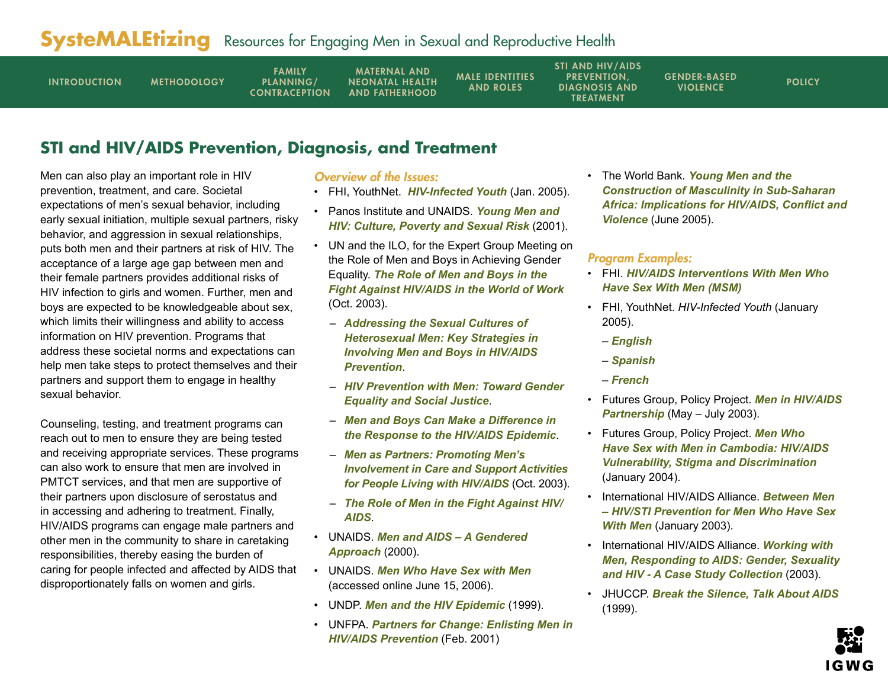<span id="page-10-0"></span>

| <b>INTRODUCTION</b> | <b>METHODOLOGY</b> | <b>FAMILY</b><br>PLANNING/<br><b>CONTRACEPTION</b> | <b>MATERNAL AND</b><br><b>NEONATAL HEALTH</b><br><b>AND FATHERHOOD</b> | <b>MALE IDENTITIES</b><br><b>AND ROLES</b> | <b>STI AND HIV/AIDS</b><br><b>PREVENTION.</b><br><b>DIAGNOSIS AND</b><br><b>TREATMENT</b> | <b>GENDER-BASED</b><br><b>VIOLENCE</b> | <b>POLICY</b> |
|---------------------|--------------------|----------------------------------------------------|------------------------------------------------------------------------|--------------------------------------------|-------------------------------------------------------------------------------------------|----------------------------------------|---------------|
|---------------------|--------------------|----------------------------------------------------|------------------------------------------------------------------------|--------------------------------------------|-------------------------------------------------------------------------------------------|----------------------------------------|---------------|

## **STI and HIV/AIDS Prevention, Diagnosis, and Treatment**

Men can also play an important role in HIV prevention, treatment, and care. Societal expectations of men's sexual behavior, including early sexual initiation, multiple sexual partners, risky behavior, and aggression in sexual relationships, puts both men and their partners at risk of HIV. The acceptance of a large age gap between men and their female partners provides additional risks of HIV infection to girls and women. Further, men and boys are expected to be knowledgeable about sex, which limits their willingness and ability to access information on HIV prevention. Programs that address these societal norms and expectations can help men take steps to protect themselves and their partners and support them to engage in healthy sexual behavior.

Counseling, testing, and treatment programs can reach out to men to ensure they are being tested and receiving appropriate services. These programs can also work to ensure that men are involved in PMTCT services, and that men are supportive of their partners upon disclosure of serostatus and in accessing and adhering to treatment. Finally, HIV/AIDS programs can engage male partners and other men in the community to share in caretaking responsibilities, thereby easing the burden of caring for people infected and affected by AIDS that disproportionately falls on women and girls.

#### Overview of the Issues:

- FHI, YouthNet. *[HIV-Infected Youth](www.fhi.org/NR/rdonlyres/efwnk4dpo4224lmkhiyw2jm5qpnncqwvqc236zp75jk6qb3p   6ybilfssbpveuysmkqga55lit642ec/YL13.pdf)* (Jan. 2005).
- Panos Institute and UNAIDS. *[Young Men and](www.panos.org.uk/files/youngmenandhivculture.pdf)  [HIV: Culture, Poverty and Sexual Risk](www.panos.org.uk/files/youngmenandhivculture.pdf)* (2001).
- UN and the ILO, for the Expert Group Meeting on the Role of Men and Boys in Achieving Gender Equality. *[The Role of Men and Boys in the](www.un.org/womenwatch/daw/egm/men-boys2003/WP3-ILO.pdf)  [Fight Against HIV/AIDS in the World of Work](www.un.org/womenwatch/daw/egm/men-boys2003/WP3-ILO.pdf)* (Oct. 2003).
	- *[Addressing the Sexual Cultures of](www.un.org/womenwatch/daw/egm/men-boys2003/EP6-Flood.pdf)  [Heterosexual Men: Key Strategies in](www.un.org/womenwatch/daw/egm/men-boys2003/EP6-Flood.pdf)  [Involving Men and Boys in HIV/AIDS](www.un.org/womenwatch/daw/egm/men-boys2003/EP6-Flood.pdf)  [Prevention](www.un.org/womenwatch/daw/egm/men-boys2003/EP6-Flood.pdf)*.
	- *[HIV Prevention with Men: Toward Gender](www.un.org/womenwatch/daw/egm/men-boys2003/EP7-Greig.pdf)  [Equality and Social Justice](www.un.org/womenwatch/daw/egm/men-boys2003/EP7-Greig.pdf)*.
	- *[Men and Boys Can Make a Difference in](www.un.org/womenwatch/daw/egm/men-boys2003/WP4-UNAIDS.pdf)  [the Response to the HIV/AIDS Epidemic](www.un.org/womenwatch/daw/egm/men-boys2003/WP4-UNAIDS.pdf)*.
	- *[Men as Partners: Promoting Men's](www.un.org/womenwatch/daw/egm/men-boys2003/EP5-Peacock.pdf)  [Involvement in Care and Support Activities](www.un.org/womenwatch/daw/egm/men-boys2003/EP5-Peacock.pdf)  [for People Living with HIV/AIDS](www.un.org/womenwatch/daw/egm/men-boys2003/EP5-Peacock.pdf)* (Oct. 2003).
	- *[The Role of Men in the Fight Against HIV/](www.un.org/womenwatch/daw/egm/men-boys2003/EP4-Wainaina.pdf) [AIDS](www.un.org/womenwatch/daw/egm/men-boys2003/EP4-Wainaina.pdf)*.
- UNAIDS. *[Men and AIDS A Gendered](www.thebody.com/unaids/men/contents.html)  [Approach](www.thebody.com/unaids/men/contents.html)* (2000).
- UNAIDS. *[Men Who Have Sex with Men](www.unaids.org/en/Issues/Affected_communities/men_who_have_sex_with_men.asp)* (accessed online June 15, 2006).
- UNDP. *[Men and the HIV Epidemic](www.undp.org/hiv/publications/gender/mene.htm)* (1999).
- UNFPA. *[Partners for Change: Enlisting Men in](www.unfpa.org/upload/lib_pub_file/83_filename_partnersforchange.pdf)  [HIV/AIDS Prevention](www.unfpa.org/upload/lib_pub_file/83_filename_partnersforchange.pdf)* (Feb. 2001)

• The World Bank. *[Young Men and the](http://tinyurl.com/kqv6q)  [Construction of Masculinity in Sub-Saharan](http://tinyurl.com/kqv6q)  [Africa: Implications for HIV/AIDS, Conflict and](http://tinyurl.com/kqv6q)  [Violence](http://tinyurl.com/kqv6q)* (June 2005).

#### Program Examples:

- FHI. *[HIV/AIDS Interventions With Men Who](http://www.fhi.org/en/hivaids/pub/fact/intervenmsm.htm)  [Have Sex With Men](http://www.fhi.org/en/hivaids/pub/fact/intervenmsm.htm) (MSM)*
- FHI, YouthNet. *HIV-Infected Youth* (January 2005).
	- *[English](www.fhi.org/NR/rdonlyres/efwnk4dpo4224lmkhiyw2jm5qpnncqwvqc236zp75jk6qb3p6ybilfssbpveuysmkqga55lit642ec/YL13.pdf)*
	- *[Spanish](www.fhi.org/NR/rdonlyres/etgllusnlybgggepzg5lptj3ydcet52hfp62vrmvvuwf5uzu3lnssjav6irjeb2glln5ngmzkpmgof/YL13s.pdf)*
	- *[French](www.fhi.org/NR/rdonlyres/e7dnds5mf5zpbeduwzlxh32g6kldk7iknrbjzcmwgyvzjhdg6y36h5iv4e2wzknczgxpd6f6fpvdvp/YL13f.pdf)*
- Futures Group, Policy Project. *[Men in HIV/AIDS](www.policyproject.com/pubs/countryreports/SA_mensprovince.pdf)  [Partnership](www.policyproject.com/pubs/countryreports/SA_mensprovince.pdf)* (May – July 2003).
- Futures Group, Policy Project. *[Men Who](www.policyproject.com/pubs/countryreports/CAM_MSM.pdf)  [Have Sex with Men in Cambodia: HIV/AIDS](www.policyproject.com/pubs/countryreports/CAM_MSM.pdf)  [Vulnerability, Stigma and Discrimination](www.policyproject.com/pubs/countryreports/CAM_MSM.pdf)* (January 2004).
- International HIV/AIDS Alliance. *[Between Men](http://synkronweb.aidsalliance.org/graphics/secretariat/publications/msm0803_between_men_Eng.pdf)  [– HIV/STI Prevention for Men Who Have Sex](http://synkronweb.aidsalliance.org/graphics/secretariat/publications/msm0803_between_men_Eng.pdf)  [With Men](http://synkronweb.aidsalliance.org/graphics/secretariat/publications/msm0803_between_men_Eng.pdf)* (January 2003).
- International HIV/AIDS Alliance. *[Working with](http://synkronweb.aidsalliance.org/graphics/secretariat/publications/wwm1103_working_with_men.pdf)  [Men, Responding to AIDS: Gender, Sexuality](http://synkronweb.aidsalliance.org/graphics/secretariat/publications/wwm1103_working_with_men.pdf)  [and HIV - A Case Study Collection](http://synkronweb.aidsalliance.org/graphics/secretariat/publications/wwm1103_working_with_men.pdf)* (2003).
- JHUCCP. *[Break the Silence, Talk About AIDS](www.jhuccp.org/pubs/sp/20/20.pdf)* (1999).

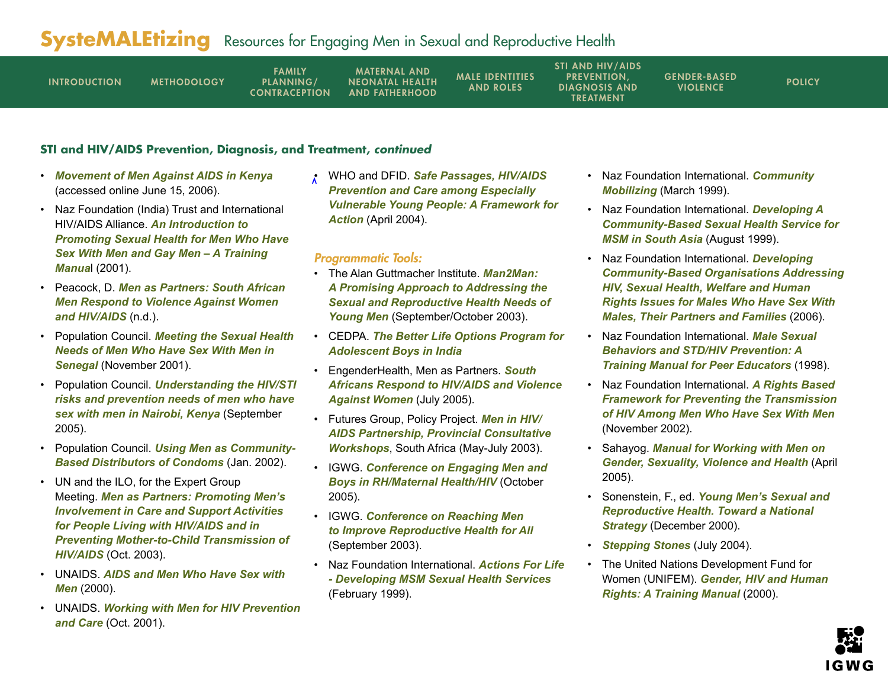| <b>INTRODUCTION</b> | <b>METHODOLOGY</b> | <b>FAMILY</b><br>PLANNING/<br><b>CONTRACEPTION</b> | <b>MATERNAL AND</b><br><b>NEONATAL HEALTH</b><br><b>AND FATHERHOOD</b> | <b>MALE IDENTITIES</b><br><b>AND ROLES</b> | <b>STI AND HIV/AIDS</b><br><b>PREVENTION.</b><br><b>DIAGNOSIS AND</b><br><b>TREATMENT</b> | <b>GENDER-BASED</b><br><b>VIOLENCE</b> | <b>POLICY</b> |
|---------------------|--------------------|----------------------------------------------------|------------------------------------------------------------------------|--------------------------------------------|-------------------------------------------------------------------------------------------|----------------------------------------|---------------|
|---------------------|--------------------|----------------------------------------------------|------------------------------------------------------------------------|--------------------------------------------|-------------------------------------------------------------------------------------------|----------------------------------------|---------------|

### **STI and HIV/AIDS Prevention, Diagnosis, and Treatment, continued**

- *[Movement of Men Against AIDS in Kenya](www.mmaak.or.ke/projects.php)* (accessed online June 15, 2006).
- Naz Foundation (India) Trust and International HIV/AIDS Alliance. *[An Introduction to](http://synkronweb.aidsalliance.org/graphics/secretariat/publications/msm1101_naz_msm_manual.pdf)  [Promoting Sexual Health for Men Who Have](http://synkronweb.aidsalliance.org/graphics/secretariat/publications/msm1101_naz_msm_manual.pdf)  [Sex With Men and Gay Men – A Training](http://synkronweb.aidsalliance.org/graphics/secretariat/publications/msm1101_naz_msm_manual.pdf)  [Manua](http://synkronweb.aidsalliance.org/graphics/secretariat/publications/msm1101_naz_msm_manual.pdf)*l (2001).
- Peacock, D. *[Men as Partners: South African](www.gwg.in/data/mi/publications/reports/South%20African%20men%20respond%20to%20violence%20against%20women%20and%20HIV%20AIDS%20Report.pdf)  [Men Respond to Violence Against Women](www.gwg.in/data/mi/publications/reports/South%20African%20men%20respond%20to%20violence%20against%20women%20and%20HIV%20AIDS%20Report.pdf)  [and HIV/AIDS](www.gwg.in/data/mi/publications/reports/South%20African%20men%20respond%20to%20violence%20against%20women%20and%20HIV%20AIDS%20Report.pdf)* (n.d.).
- Population Council. *[Meeting the Sexual Health](www.popcouncil.org/horizons/ressum/msmsenegal/msmsenegal.html)  [Needs of Men Who Have Sex With Men in](www.popcouncil.org/horizons/ressum/msmsenegal/msmsenegal.html)  [Senegal](www.popcouncil.org/horizons/ressum/msmsenegal/msmsenegal.html)* (November 2001).
- Population Council. *[Understanding the HIV/STI](http://www.popcouncil.org/pdfs/horizons/msmkenya.pdf)  [risks and prevention needs of men who have](http://www.popcouncil.org/pdfs/horizons/msmkenya.pdf)  [sex with men in Nairobi, Kenya](http://www.popcouncil.org/pdfs/horizons/msmkenya.pdf)* (September 2005).
- Population Council. *[Using Men as Community-](www.popcouncil.org/pdfs/frontiers/pbriefs/male_CBDs_brf.pdf)[Based Distributors of Condoms](www.popcouncil.org/pdfs/frontiers/pbriefs/male_CBDs_brf.pdf)* (Jan. 2002).
- UN and the ILO, for the Expert Group Meeting. *[Men as Partners: Promoting Men's](www.un.org/womenwatch/daw/egm/men-boys2003/EP5-Peacock.pdf)  [Involvement in Care and Support Activities](www.un.org/womenwatch/daw/egm/men-boys2003/EP5-Peacock.pdf)  [for People Living with HIV/AIDS and in](www.un.org/womenwatch/daw/egm/men-boys2003/EP5-Peacock.pdf)  [Preventing Mother-to-Child Transmission of](www.un.org/womenwatch/daw/egm/men-boys2003/EP5-Peacock.pdf)  [HIV/AIDS](www.un.org/womenwatch/daw/egm/men-boys2003/EP5-Peacock.pdf)* (Oct. 2003).
- UNAIDS. *[AIDS and Men Who Have Sex with](http://data.unaids.org/Publications/IRC-pub03/mentu2000_en.pdf)  [Men](http://data.unaids.org/Publications/IRC-pub03/mentu2000_en.pdf)* (2000).
- UNAIDS. *[Working with Men for HIV Prevention](http://data.unaids.org/Publications/IRC-pub02/JC543-WorkingWithMen_en.pdf)  [and Care](http://data.unaids.org/Publications/IRC-pub02/JC543-WorkingWithMen_en.pdf)* (Oct. 2001).

• WHO and DFID. *[Safe Passages, HIV/AIDS](www.socstats.soton.ac.uk/cshr/pdfs/evypframework.pdf)  [Prevention and Care among Especially](www.socstats.soton.ac.uk/cshr/pdfs/evypframework.pdf)  [Vulnerable Young People: A Framework for](www.socstats.soton.ac.uk/cshr/pdfs/evypframework.pdf)  [Action](www.socstats.soton.ac.uk/cshr/pdfs/evypframework.pdf)* (April 2004).

#### Programmatic Tools:

- The Alan Guttmacher Institute. *[Man2Man:](www.guttmacher.org/pubs/journals/3521503.html)  [A Promising Approach to Addressing the](www.guttmacher.org/pubs/journals/3521503.html)  [Sexual and Reproductive Health Needs of](www.guttmacher.org/pubs/journals/3521503.html)  [Young Men](www.guttmacher.org/pubs/journals/3521503.html)* (September/October 2003).
- CEDPA. *[The Better Life Options Program for](www.cedpa.org/content/general/detail/753/)  [Adolescent Boys in India](www.cedpa.org/content/general/detail/753/)*
- EngenderHealth, Men as Partners. *[South](http://www.engenderhealth.org/ia/wwm/wwmds.html#)  [Africans Respond to HIV/AIDS and Violence](http://www.engenderhealth.org/ia/wwm/wwmds.html#)  [Against Women](http://www.engenderhealth.org/ia/wwm/wwmds.html#)* (July 2005).
- Futures Group, Policy Project. *[Men in HIV/](www.policyproject.com/pubs/countryreports/SA_mensprovince.pdf) [AIDS Partnership, Provincial Consultative](www.policyproject.com/pubs/countryreports/SA_mensprovince.pdf)  [Workshops](www.policyproject.com/pubs/countryreports/SA_mensprovince.pdf)*, South Africa (May-July 2003).
- IGWG. *[Conference on Engaging Men and](www.igwg.org/eventstrain/engangingmenandboys.htm)  [Boys in RH/Maternal Health/HIV](www.igwg.org/eventstrain/engangingmenandboys.htm)* (October 2005).
- IGWG. *[Conference on Reaching Men](www.igwg.org/eventstrain/conf.htm)  [to Improve Reproductive Health for All](www.igwg.org/eventstrain/conf.htm)* (September 2003).
- Naz Foundation International. *[Actions For Life](www.nfi.net/NFI Publications/NFI Briefing Papers/actions for life.doc)  [- Developing MSM Sexual Health Services](www.nfi.net/NFI Publications/NFI Briefing Papers/actions for life.doc)* (February 1999).
- Naz Foundation International. *[Community](www.nfi.net/NFI%20Publications/NFI%20Briefing%20Papers/community.doc)  [Mobilizing](www.nfi.net/NFI%20Publications/NFI%20Briefing%20Papers/community.doc)* (March 1999).
- Naz Foundation International. *[Developing A](www.nfi.net/NFI%20Publications/NFI%20Briefing%20Papers/sexual%20health.doc)  [Community-Based Sexual Health Service for](www.nfi.net/NFI%20Publications/NFI%20Briefing%20Papers/sexual%20health.doc)  [MSM](www.nfi.net/NFI%20Publications/NFI%20Briefing%20Papers/sexual%20health.doc) in South Asia* (August 1999).
- Naz Foundation International. *[Developing](www.nfi.net/CBO%20Front%20Page.htm)  [Community-Based Organisations Addressing](www.nfi.net/CBO%20Front%20Page.htm)  [HIV, Sexual Health, Welfare and Human](www.nfi.net/CBO%20Front%20Page.htm)  [Rights Issues for Males Who Have Sex With](www.nfi.net/CBO%20Front%20Page.htm)  [Males, Their Partners and Families](www.nfi.net/CBO%20Front%20Page.htm)* (2006).
- Naz Foundation International. *[Male Sexual](www.nfi.net/NFI%20Publications/Manuals/PeerManual.pdf)  [Behaviors and STD/HIV Prevention: A](www.nfi.net/NFI%20Publications/Manuals/PeerManual.pdf)  [Training Manual for Peer Educators](www.nfi.net/NFI%20Publications/Manuals/PeerManual.pdf)* (1998).
- Naz Foundation International. *[A Rights Based](www.nfi.net/NFI%20Publications/NFI%20Briefing%20Papers/MSM%20rights%20approach.doc)  [Framework for Preventing the Transmission](www.nfi.net/NFI%20Publications/NFI%20Briefing%20Papers/MSM%20rights%20approach.doc)  [of HIV Among Men Who Have Sex With Men](www.nfi.net/NFI%20Publications/NFI%20Briefing%20Papers/MSM%20rights%20approach.doc)* (November 2002).
- Sahayog. *Manual for [Working with Men on](www.sahayogindia.org/English%20manual.pdf)  [Gender, Sexuality, Violence and Health](www.sahayogindia.org/English%20manual.pdf)* (April 2005).
- Sonenstein, F., ed. *[Young Men's Sexual and](www.urban.org/UploadedPDF/410027.pdf)  [Reproductive Health. Toward a National](www.urban.org/UploadedPDF/410027.pdf)  [Strategy](www.urban.org/UploadedPDF/410027.pdf)* (December 2000).
- *[Stepping Stones](www.steppingstonesfeedback.org)* (July 2004).
- The United Nations Development Fund for Women (UNIFEM). *[Gender, HIV and Human](www.unifem.org/resources/item_detail.php?ProductID=5)  [Rights: A Training Manual](www.unifem.org/resources/item_detail.php?ProductID=5)* (2000).

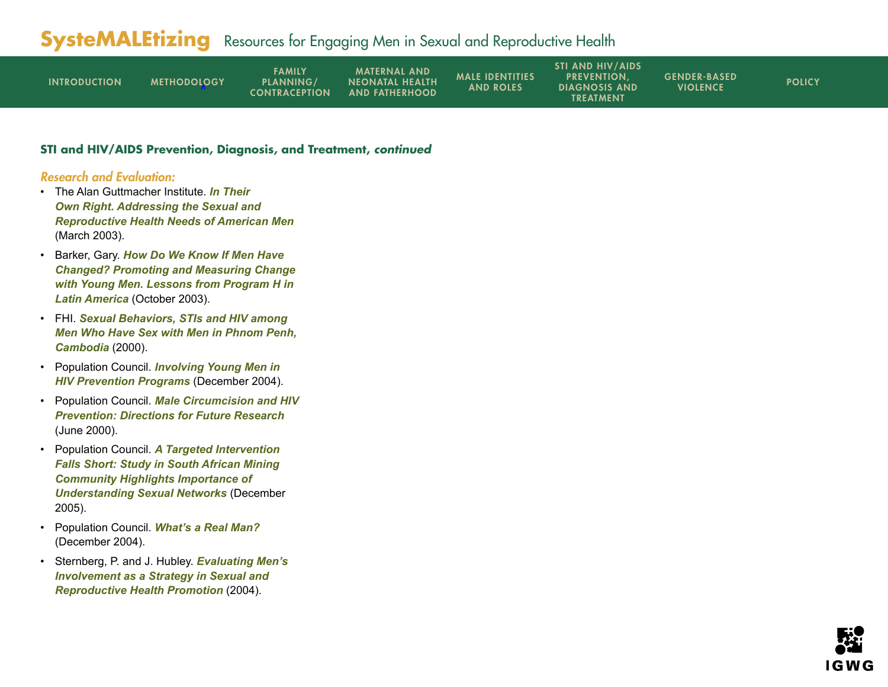| <b>INTRODUCTION</b> | <b>METHODOLOGY</b> | FAMILY<br>PLANNING/<br><b>CONTRACEPTION</b> | <b>MATERNAL AND</b><br><b>NEONATAL HEALTH</b><br><b>AND FATHERHOOD</b> | <b>MALE IDENTITIES</b><br><b>AND ROLES</b> | <b>STI AND HIV/AIDS</b><br><b>PREVENTION.</b><br><b>DIAGNOSIS AND</b><br><b>TREATMENT</b> | <b>GENDER-BASED</b><br><b>VIOLENCE</b> | <b>POLICY</b> |
|---------------------|--------------------|---------------------------------------------|------------------------------------------------------------------------|--------------------------------------------|-------------------------------------------------------------------------------------------|----------------------------------------|---------------|
|---------------------|--------------------|---------------------------------------------|------------------------------------------------------------------------|--------------------------------------------|-------------------------------------------------------------------------------------------|----------------------------------------|---------------|

#### **STI and HIV/AIDS Prevention, Diagnosis, and Treatment, continued**

- The Alan Guttmacher Institute. *[In Their](www.agi-usa.org/pubs/us_men.pdf)  [Own Right. Addressing the Sexual and](www.agi-usa.org/pubs/us_men.pdf)  [Reproductive Health Needs of American Men](www.agi-usa.org/pubs/us_men.pdf)* (March 2003).
- Barker, Gary. *[How Do We Know If Men Have](www.un.org/womenwatch/daw/egm/men-boys2003/OP2-Barker.pdf)  [Changed? Promoting and Measuring Change](www.un.org/womenwatch/daw/egm/men-boys2003/OP2-Barker.pdf)  [with Young Men. Lessons from Program H in](www.un.org/womenwatch/daw/egm/men-boys2003/OP2-Barker.pdf)  [Latin America](www.un.org/womenwatch/daw/egm/men-boys2003/OP2-Barker.pdf)* (October 2003).
- FHI. *[Sexual Behaviors, STIs and HIV among](www.fhi.org/en/HIVAIDS/pub/survreports/MSMCambodia/index.htm)  [Men Who Have Sex with Men in Phnom Penh,](www.fhi.org/en/HIVAIDS/pub/survreports/MSMCambodia/index.htm)  [Cambodia](www.fhi.org/en/HIVAIDS/pub/survreports/MSMCambodia/index.htm)* (2000).
- Population Council. *[Involving Young Men in](www.popcouncil.org/horizons/newsletter/horizons(9)_1.html)  [HIV Prevention Programs](www.popcouncil.org/horizons/newsletter/horizons(9)_1.html)* (December 2004).
- Population Council. *[Male Circumcision and HIV](www.popcouncil.org/pdfs/circumcision.pdf )  [Prevention: Directions for Future Research](www.popcouncil.org/pdfs/circumcision.pdf )* (June 2000).
- Population Council. *[A Targeted Intervention](www.popcouncil.org/horizons/newsletter/horizons(11)_5.html)  [Falls Short: Study in South African Mining](www.popcouncil.org/horizons/newsletter/horizons(11)_5.html)  [Community Highlights Importance of](www.popcouncil.org/horizons/newsletter/horizons(11)_5.html)  [Understanding Sexual Networks](www.popcouncil.org/horizons/newsletter/horizons(11)_5.html)* (December 2005).
- Population Council. *[What's a Real Man?](http://www.popcouncil.org/horizons/newsletter/horizons(9)_3.html)* (December 2004).
- Sternberg, P. and J. Hubley. *[Evaluating Men's](http://heapro.oxfordjournals.org/cgi/content/abstract/19/3/389)  [Involvement as a Strategy in Sexual and](http://heapro.oxfordjournals.org/cgi/content/abstract/19/3/389)  [Reproductive Health Promotion](http://heapro.oxfordjournals.org/cgi/content/abstract/19/3/389)* (2004).

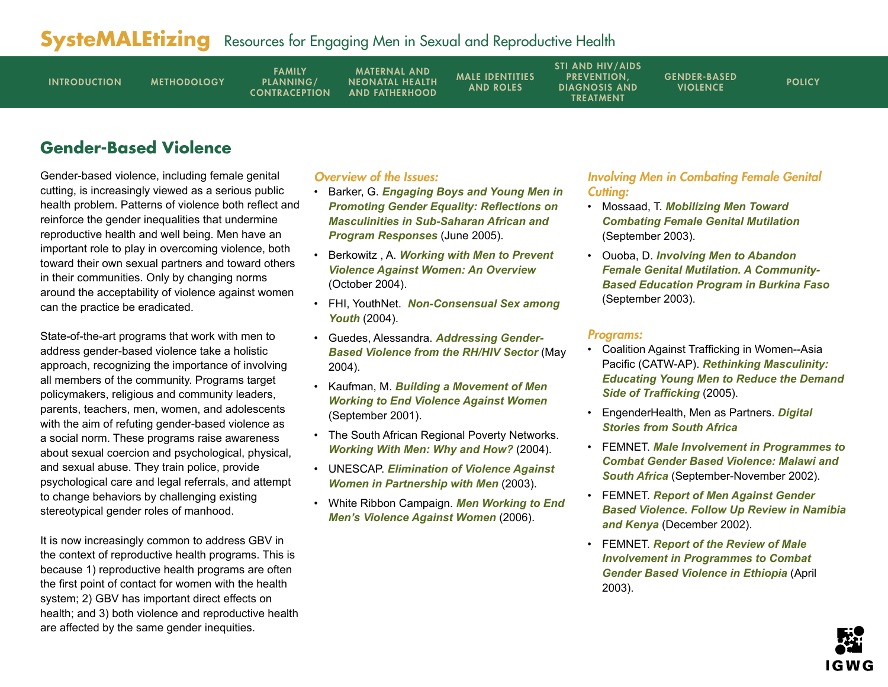<span id="page-13-0"></span>

| <b>INTRODUCTION</b> | <b>METHODOLOGY</b> | <b>FAMILY</b><br>PLANNING/<br><b>CONTRACEPTION</b> | <b>MATERNAL AND</b><br><b>NEONATAL HEALTH</b><br><b>AND FATHERHOOD</b> | <b>MALE IDENTITIES</b><br><b>AND ROLES</b> | <b>STI AND HIV/AIDS</b><br><b>PREVENTION.</b><br><b>DIAGNOSIS AND</b><br>TREATMENT | <b>GENDER-BASED</b><br><b>VIOLENCE</b> | <b>POLICY</b> |
|---------------------|--------------------|----------------------------------------------------|------------------------------------------------------------------------|--------------------------------------------|------------------------------------------------------------------------------------|----------------------------------------|---------------|
|                     |                    |                                                    |                                                                        |                                            |                                                                                    |                                        |               |

## **Gender-Based Violence**

Gender-based violence, including female genital cutting, is increasingly viewed as a serious public health problem. Patterns of violence both reflect and reinforce the gender inequalities that undermine reproductive health and well being. Men have an important role to play in overcoming violence, both toward their own sexual partners and toward others in their communities. Only by changing norms around the acceptability of violence against women can the practice be eradicated.

State-of-the-art programs that work with men to address gender-based violence take a holistic approach, recognizing the importance of involving all members of the community. Programs target policymakers, religious and community leaders, parents, teachers, men, women, and adolescents with the aim of refuting gender-based violence as a social norm. These programs raise awareness about sexual coercion and psychological, physical, and sexual abuse. They train police, provide psychological care and legal referrals, and attempt to change behaviors by challenging existing stereotypical gender roles of manhood.

It is now increasingly common to address GBV in the context of reproductive health programs. This is because 1) reproductive health programs are often the first point of contact for women with the health system; 2) GBV has important direct effects on health; and 3) both violence and reproductive health are affected by the same gender inequities.

### Overview of the Issues:

- Barker, G. *[Engaging Boys and Young Men in](www.rb.se/NR/rdonlyres/3AE599E1-3FB8-49A0-A341-A8A2E23281C4/0/Engagingboysandyoungmeninpromotinggenderequality.pdf )  [Promoting Gender Equality: Reflections on](www.rb.se/NR/rdonlyres/3AE599E1-3FB8-49A0-A341-A8A2E23281C4/0/Engagingboysandyoungmeninpromotinggenderequality.pdf )  [Masculinities in Sub-Saharan African and](www.rb.se/NR/rdonlyres/3AE599E1-3FB8-49A0-A341-A8A2E23281C4/0/Engagingboysandyoungmeninpromotinggenderequality.pdf )  [Program Responses](www.rb.se/NR/rdonlyres/3AE599E1-3FB8-49A0-A341-A8A2E23281C4/0/Engagingboysandyoungmeninpromotinggenderequality.pdf )* (June 2005).
- Berkowitz , A. *[Working with Men to Prevent](www.alanberkowitz.com/articles/VAWNET.pdf)  [Violence Against Women: An Overview](www.alanberkowitz.com/articles/VAWNET.pdf)* (October 2004).
- FHI, YouthNet. *[Non-Consensual Sex among](www.fhi.org/NR/rdonlyres/eg4tmdypgyrhxlw3ijm5nmg7qj753tftvxgyodjmb7johmfglmiffrbxmnmgh2mvbwh6dj2swlayvo/YL102.pdf)  [Youth](www.fhi.org/NR/rdonlyres/eg4tmdypgyrhxlw3ijm5nmg7qj753tftvxgyodjmb7johmfglmiffrbxmnmgh2mvbwh6dj2swlayvo/YL102.pdf)* (2004).
- Guedes, Alessandra. *[Addressing Gender-](www.prb.org/pdf04/AddressGendrBasedViolence.pdf)[Based Violence from the RH/HIV Sector](www.prb.org/pdf04/AddressGendrBasedViolence.pdf)* (May 2004).
- Kaufman, M. *[Building a Movement of Men](www.michaelkaufman.com/articles/pdf/buildingamovement.pdf)  [Working to End Violence Against Women](www.michaelkaufman.com/articles/pdf/buildingamovement.pdf)* (September 2001).
- The South African Regional Poverty Networks. *[Working With Men: Why and How?](www.sarpn.org/documents/d0001222/Gender-based_violence_working-men.pdf)* (2004).
- UNESCAP. *[Elimination of Violence Against](www.unescap.org/esid/GAD/Publication/DiscussionPapers/15/series15-main-text.pdf)  [Women in Partnership with Men](www.unescap.org/esid/GAD/Publication/DiscussionPapers/15/series15-main-text.pdf)* (2003).
- White Ribbon Campaign. *[Men Working to End](www.whiteribbon.ca/)  [Men's Violence Against Women](www.whiteribbon.ca/)* (2006).

## Involving Men in Combating Female Genital Cuttina:

- Mossaad, T. *[Mobilizing Men Toward](www.jhuccp.org/igwg/presentations/Tuesday/SubplenI/MobilizingMen.pdf)  [Combating Female Genital Mutilation](www.jhuccp.org/igwg/presentations/Tuesday/SubplenI/MobilizingMen.pdf)* (September 2003).
- Ouoba, D. *[Involving Men to Abandon](www.jhuccp.org/igwg/presentations/Monday/SubplenC/CommunityBased.pdf)  [Female Genital Mutilation. A Community-](www.jhuccp.org/igwg/presentations/Monday/SubplenC/CommunityBased.pdf)[Based Education Program in Burkina Faso](www.jhuccp.org/igwg/presentations/Monday/SubplenC/CommunityBased.pdf)* (September 2003).

#### Programs:

- Coalition Against Trafficking in Women--Asia Pacific (CATW-AP). *[Rethinking Masculinity:](www.fokuskvinner.no/484/Rethinking_Masculinity_-_Educating_Young_Men_to_Reduce_the_Demand_Side_of_Trafficking.pdf)  [Educating Young Men to Reduce the Demand](www.fokuskvinner.no/484/Rethinking_Masculinity_-_Educating_Young_Men_to_Reduce_the_Demand_Side_of_Trafficking.pdf)  [Side of Trafficking](www.fokuskvinner.no/484/Rethinking_Masculinity_-_Educating_Young_Men_to_Reduce_the_Demand_Side_of_Trafficking.pdf)* (2005).
- EngenderHealth, Men as Partners. *[Digital](www.engenderhealth.org/ia/wwm/wwmds.html#)  [Stories from South Africa](www.engenderhealth.org/ia/wwm/wwmds.html#)*
- FEMNET. *[Male Involvement in Programmes to](www.femnet.or.ke/documents/m2m_nam_sa.pdf)  [Combat Gender Based Violence: Malawi and](www.femnet.or.ke/documents/m2m_nam_sa.pdf)  [South Africa](www.femnet.or.ke/documents/m2m_nam_sa.pdf)* (September-November 2002).
- FEMNET. *[Report of Men Against Gender](www.femnet.or.ke/documents/m2m_nam_ken.pdf)  [Based Violence. Follow Up Review in Namibia](www.femnet.or.ke/documents/m2m_nam_ken.pdf)  [and Kenya](www.femnet.or.ke/documents/m2m_nam_ken.pdf)* (December 2002).
- FEMNET. *[Report of the Review of Male](www.femnet.or.ke/documents/m2m_nam_eth.pdf)  [Involvement in Programmes to Combat](www.femnet.or.ke/documents/m2m_nam_eth.pdf)  [Gender Based Violence in Ethiopia](www.femnet.or.ke/documents/m2m_nam_eth.pdf)* (April 2003).

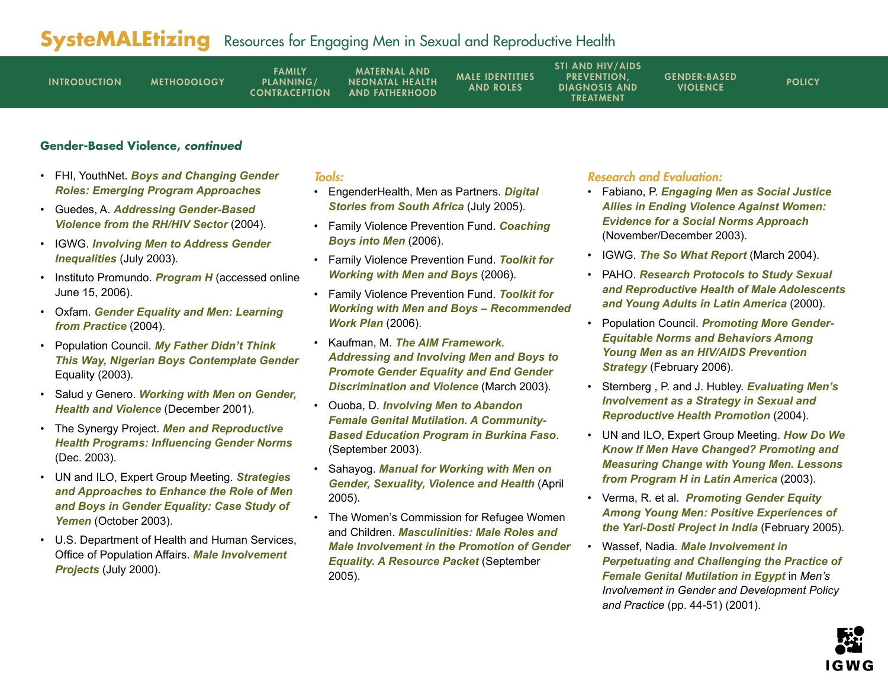| <b>INTRODUCTION</b> | <b>METHODOLOGY</b> | FAMILY<br>PLANNING/<br><b>CONTRACEPTION</b> | <b>MATERNAL AND</b><br><b>NEONATAL HEALTH</b><br><b>AND FATHERHOOD</b> | <b>MALE IDENTITIES</b><br><b>AND ROLES</b> | <b>STI AND HIV/AIDS</b><br><b>PREVENTION.</b><br><b>DIAGNOSIS AND</b><br>TREATMENT | <b>GENDER-BASED</b><br><b>VIOLENCE</b> | <b>POLICY</b> |
|---------------------|--------------------|---------------------------------------------|------------------------------------------------------------------------|--------------------------------------------|------------------------------------------------------------------------------------|----------------------------------------|---------------|
|---------------------|--------------------|---------------------------------------------|------------------------------------------------------------------------|--------------------------------------------|------------------------------------------------------------------------------------|----------------------------------------|---------------|

## **Gender-Based Violence, continued**

- FHI, YouthNet. *[Boys and Changing Gender](www.fhi.org/NR/rdonlyres/ebi4gbgdtwxeotyfwshe4wdqg6fsfgzvignbgamvnu4mz42mjlqcftpkvtw35ry53fm2kgbczb6mcd/YL16e.pdf)  [Roles: Emerging Program Approaches](www.fhi.org/NR/rdonlyres/ebi4gbgdtwxeotyfwshe4wdqg6fsfgzvignbgamvnu4mz42mjlqcftpkvtw35ry53fm2kgbczb6mcd/YL16e.pdf)*
- Guedes, A. *[Addressing Gender-Based](www.prb.org/pdf04/AddressGendrBasedViolence.pdf)  [Violence from the RH/HIV Sector](www.prb.org/pdf04/AddressGendrBasedViolence.pdf)* (2004).
- IGWG. *[Involving Men to Address Gender](www.prb.org/pdf/InvolvMenToAddressGendr.pdf)  [Inequalities](www.prb.org/pdf/InvolvMenToAddressGendr.pdf)* (July 2003).
- Instituto Promundo. *[Program H](www.promundo.org.br/materia/view/330)* (accessed online June 15, 2006).
- Oxfam. *[Gender Equality and Men: Learning](http://publications.oxfam.org.uk//oxfam/add_info_003.asp)  [from Practice](http://publications.oxfam.org.uk//oxfam/add_info_003.asp)* (2004).
- Population Council. *[My Father Didn't Think](www.popcouncil.org/pdfs/qcq/qcq14.pdf)  [This Way, Nigerian Boys Contemplate Gender](www.popcouncil.org/pdfs/qcq/qcq14.pdf)* Equality (2003).
- Salud y Genero. *[Working with Men on Gender,](www.oxfam.org.uk/what_we_do/issues/gender/gem/downloads/Saludcase.pdf)  [Health and Violence](www.oxfam.org.uk/what_we_do/issues/gender/gem/downloads/Saludcase.pdf)* (December 2001).
- The Synergy Project. *[Men and Reproductive](http://pdf.dec.org/pdf_docs/PNACU969.pdf)  [Health Programs: Influencing Gender Norms](http://pdf.dec.org/pdf_docs/PNACU969.pdf)* (Dec. 2003).
- UN and ILO, Expert Group Meeting. *[Strategies](www.un.org/womenwatch/daw/egm/men-boys2003/EP1-ElSanousi.pdf)  [and Approaches to Enhance the Role of Men](www.un.org/womenwatch/daw/egm/men-boys2003/EP1-ElSanousi.pdf)  [and Boys in Gender Equality: Case Study of](www.un.org/womenwatch/daw/egm/men-boys2003/EP1-ElSanousi.pdf)  [Yemen](www.un.org/womenwatch/daw/egm/men-boys2003/EP1-ElSanousi.pdf)* (October 2003).
- U.S. Department of Health and Human Services, Office of Population Affairs. *[Male Involvement](http://opa.osophs.dhhs.gov/titlex/opa_male_projects_review_july2000.pdf)  [Projects](http://opa.osophs.dhhs.gov/titlex/opa_male_projects_review_july2000.pdf)* (July 2000).

## Tools:

- EngenderHealth, Men as Partners. *[Digital](www.engenderhealth.org/ia/wwm/wwmds.html#)  [Stories from South Africa](www.engenderhealth.org/ia/wwm/wwmds.html#)* (July 2005).
- Family Violence Prevention Fund. *[Coaching](http://endabuse.org/cbim/)  [Boys into Men](http://endabuse.org/cbim/)* (2006).
- Family Violence Prevention Fund. *[Toolkit for](http://toolkit.endabuse.org/Home)  [Working with Men and Boys](http://toolkit.endabuse.org/Home)* (2006).
- Family Violence Prevention Fund. *[Toolkit for](http://toolkit.endabuse.org/Home/RecommendedWork/)  [Working with Men and Boys – Recommended](http://toolkit.endabuse.org/Home/RecommendedWork/)  [Work Plan](http://toolkit.endabuse.org/Home/RecommendedWork/)* (2006).
- Kaufman, M. *[The AIM Framework.](www.michaelkaufman.com/articles/pdf/the-aim-framework.pdf)  [Addressing and Involving Men and Boys to](www.michaelkaufman.com/articles/pdf/the-aim-framework.pdf)  [Promote Gender Equality and End Gender](www.michaelkaufman.com/articles/pdf/the-aim-framework.pdf)  [Discrimination and Violence](www.michaelkaufman.com/articles/pdf/the-aim-framework.pdf)* (March 2003).
- Ouoba, D. *[Involving Men to Abandon](www.jhuccp.org/igwg/presentations/Monday/SubplenC/CommunityBased.pdf)  [Female Genital Mutilation. A Community-](www.jhuccp.org/igwg/presentations/Monday/SubplenC/CommunityBased.pdf)[Based Education Program in Burkina Faso](www.jhuccp.org/igwg/presentations/Monday/SubplenC/CommunityBased.pdf)*. (September 2003).
- Sahayog. *Manual for [Working with Men on](www.sahayogindia.org/English%20manual.pdf)  [Gender, Sexuality, Violence and Health](www.sahayogindia.org/English%20manual.pdf)* (April 2005).
- The Women's Commission for Refugee Women and Children. *[Masculinities: Male Roles and](www.womenscommission.org/pdf/masc_res.pdf)  [Male Involvement in the Promotion of Gender](www.womenscommission.org/pdf/masc_res.pdf)  [Equality. A Resource Packet](www.womenscommission.org/pdf/masc_res.pdf)* (September 2005).

- Fabiano, P. *[Engaging Men as Social Justice](www.alanberkowitz.com/articles/MenAsAllies.pdf)  [Allies in Ending Violence Against Women:](www.alanberkowitz.com/articles/MenAsAllies.pdf)  [Evidence for a Social Norms Approach](www.alanberkowitz.com/articles/MenAsAllies.pdf)* (November/December 2003).
- IGWG. *[The So What Report](www.prb.org/pdf04/TheSoWhatReport.pdf)* (March 2004).
- PAHO. *[Research Protocols to Study Sexual](www.paho.org/English/HPP/HPF/ADOL/protocol.htm)  [and Reproductive Health of Male Adolescents](www.paho.org/English/HPP/HPF/ADOL/protocol.htm)  [and Young Adults in Latin America](www.paho.org/English/HPP/HPF/ADOL/protocol.htm)* (2000).
- Population Council. *[Promoting More Gender-](www.popcouncil.org/pdfs/horizons/brgendernorms.pdf)[Equitable Norms and Behaviors Among](www.popcouncil.org/pdfs/horizons/brgendernorms.pdf)  [Young Men as an HIV/AIDS Prevention](www.popcouncil.org/pdfs/horizons/brgendernorms.pdf)  [Strategy](www.popcouncil.org/pdfs/horizons/brgendernorms.pdf)* (February 2006).
- Sternberg , P. and J. Hubley. *[Evaluating Men's](http://heapro.oxfordjournals.org/cgi/content/abstract/19/3/389)  [Involvement as a Strategy in Sexual and](http://heapro.oxfordjournals.org/cgi/content/abstract/19/3/389)  [Reproductive Health Promotion](http://heapro.oxfordjournals.org/cgi/content/abstract/19/3/389)* (2004).
- UN and ILO, Expert Group Meeting. *[How Do We](www.un.org/womenwatch/daw/egm/men-boys2003/OP2-Barker.pdf)  [Know If Men Have Changed? Promoting and](www.un.org/womenwatch/daw/egm/men-boys2003/OP2-Barker.pdf)  [Measuring Change with Young Men. Lessons](www.un.org/womenwatch/daw/egm/men-boys2003/OP2-Barker.pdf)  [from Program H in Latin America](www.un.org/womenwatch/daw/egm/men-boys2003/OP2-Barker.pdf)* (2003).
- Verma, R. et al. *[Promoting Gender Equity](www.kit.nl/ils/exchange_content/html/2005-2_promoting_gender_equity.asp )  [Among Young Men: Positive Experiences of](www.kit.nl/ils/exchange_content/html/2005-2_promoting_gender_equity.asp )  [the Yari-Dosti Project in India](www.kit.nl/ils/exchange_content/html/2005-2_promoting_gender_equity.asp )* (February 2005).
- Wassef, Nadia. *[Male Involvement in](www.oxfam.org.uk/what_we_do/resources/downloads/meninvolve%20.pdf)  [Perpetuating and Challenging the Practice of](www.oxfam.org.uk/what_we_do/resources/downloads/meninvolve%20.pdf)  [Female Genital Mutilation in Egypt](www.oxfam.org.uk/what_we_do/resources/downloads/meninvolve%20.pdf)* in *Men's Involvement in Gender and Development Policy and Practice* (pp. 44-51) (2001).

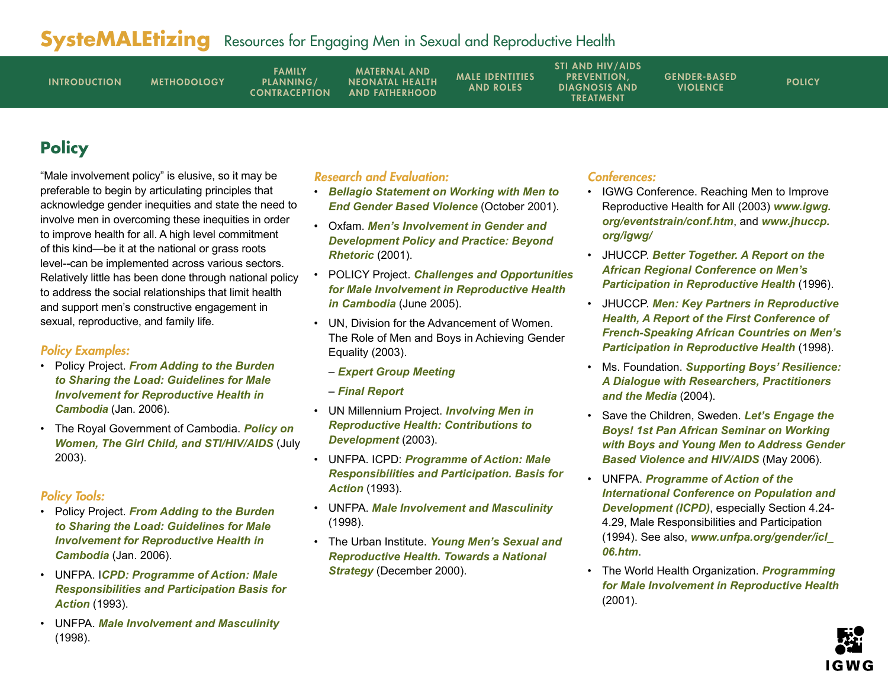<span id="page-15-0"></span>

| <b>INTRODUCTION</b> | <b>METHODOLOGY</b> | <b>FAMILY</b><br>PLANNING/<br><b>CONTRACEPTION</b> | <b>MATERNAL AND</b><br><b>NEONATAL HEALTH</b><br><b>AND FATHERHOOD</b> | <b>MALE IDENTITIES</b><br><b>AND ROLES</b> | <b>STI AND HIV/AIDS</b><br><b>PREVENTION.</b><br><b>DIAGNOSIS AND</b><br>TREATMENT | <b>GENDER-BASED</b><br><b>VIOLENCE</b> | <b>POLICY</b> |
|---------------------|--------------------|----------------------------------------------------|------------------------------------------------------------------------|--------------------------------------------|------------------------------------------------------------------------------------|----------------------------------------|---------------|
|                     |                    |                                                    |                                                                        |                                            |                                                                                    |                                        |               |

# **Policy**

"Male involvement policy" is elusive, so it may be preferable to begin by articulating principles that acknowledge gender inequities and state the need to involve men in overcoming these inequities in order to improve health for all. A high level commitment of this kind—be it at the national or grass roots level--can be implemented across various sectors. Relatively little has been done through national policy to address the social relationships that limit health and support men's constructive engagement in sexual, reproductive, and family life.

## Policy Examples:

- Policy Project. *[From Adding to the Burden](www.policyproject.com/pubs/countryreports/Cambodia%20MI%20casestudy%20final%201%2024%2006.doc)  [to Sharing the Load: Guidelines for Male](www.policyproject.com/pubs/countryreports/Cambodia%20MI%20casestudy%20final%201%2024%2006.doc)  [Involvement for Reproductive Health in](www.policyproject.com/pubs/countryreports/Cambodia%20MI%20casestudy%20final%201%2024%2006.doc)  [Cambodia](www.policyproject.com/pubs/countryreports/Cambodia%20MI%20casestudy%20final%201%2024%2006.doc)* (Jan. 2006).
- The Royal Government of Cambodia. *[Policy on](www.futuresgroup.com/Documents/CMBpolicyGirl.pdf)  [Women, The Girl Child, and STI/HIV/AIDS](www.futuresgroup.com/Documents/CMBpolicyGirl.pdf)* (July 2003).

## Policy Tools:

- Policy Project. *[From Adding to the Burden](www.policyproject.com/pubs/countryreports/Cambodia%20MI%20casestudy%20final%201%2024%2006.doc)  [to Sharing the Load: Guidelines for Male](www.policyproject.com/pubs/countryreports/Cambodia%20MI%20casestudy%20final%201%2024%2006.doc)  [Involvement for Reproductive Health in](www.policyproject.com/pubs/countryreports/Cambodia%20MI%20casestudy%20final%201%2024%2006.doc)  [Cambodia](www.policyproject.com/pubs/countryreports/Cambodia%20MI%20casestudy%20final%201%2024%2006.doc)* (Jan. 2006).
- UNFPA. I*[CPD: Programme of Action: Male](http://www.unfpa.org/icpd/icpd_poa.htm)  [Responsibilities and Participation Basis for](http://www.unfpa.org/icpd/icpd_poa.htm)  [Action](http://www.unfpa.org/icpd/icpd_poa.htm)* (1993).
- UNFPA. *[Male Involvement and Masculinity](www.unfpa.org/gender/icl_06.htm)* (1998).

## Research and Evaluation:

- *[Bellagio Statement on Working with Men to](http://toolkit.endabuse.org/Resources/Bellagio/FVPFResource_view?searchterm=None)  [End Gender Based Violence](http://toolkit.endabuse.org/Resources/Bellagio/FVPFResource_view?searchterm=None)* (October 2001).
- Oxfam. *[Men's Involvement in Gender and](www.oxfam.org.uk/what_we_do/resources/downloads/meninvolve%20.pdf)  [Development Policy and Practice: Beyond](www.oxfam.org.uk/what_we_do/resources/downloads/meninvolve%20.pdf)  [Rhetoric](www.oxfam.org.uk/what_we_do/resources/downloads/meninvolve%20.pdf)* (2001).
- POLICY Project. *[Challenges and Opportunities](www.policyproject.com/pubs/countryreports/MaleInvolv_Cam.pdf)  [for Male Involvement in Reproductive Health](www.policyproject.com/pubs/countryreports/MaleInvolv_Cam.pdf)  [in Cambodia](www.policyproject.com/pubs/countryreports/MaleInvolv_Cam.pdf)* (June 2005).
- UN, Division for the Advancement of Women. The Role of Men and Boys in Achieving Gender Equality (2003).
	- *[Expert Group Meeting](www.un.org/womenwatch/daw/egm/men-boys2003/documents.html)*
	- *[Final Report](www.un.org/womenwatch/daw/egm/men-boys2003/reports/Finalreport.PDF)*
- UN Millennium Project. *[Involving Men in](www.unmillenniumproject.org/documents/Greene_et_al-final.pdf)  [Reproductive Health: Contributions to](www.unmillenniumproject.org/documents/Greene_et_al-final.pdf)  [Development](www.unmillenniumproject.org/documents/Greene_et_al-final.pdf)* (2003).
- UNFPA. ICPD: *[Programme of Action: Male](www.unfpa.org/icpd/icpd_poa.htm)  [Responsibilities and Participation. Basis for](www.unfpa.org/icpd/icpd_poa.htm)  [Action](www.unfpa.org/icpd/icpd_poa.htm)* (1993).
- UNFPA. *[Male Involvement and Masculinity](www.unfpa.org/gender/icl_06.htm)* (1998).
- The Urban Institute. *[Young Men's Sexual and](www.urban.org/UploadedPDF/410027.pdf)  [Reproductive Health. Towards a National](www.urban.org/UploadedPDF/410027.pdf)  [Strategy](www.urban.org/UploadedPDF/410027.pdf)* (December 2000).

## Conferences:

- IGWG Conference. Reaching Men to Improve Reproductive Health for All (2003) *[www.igwg.](www.igwg.org/eventstrain/conf.htm) [org/eventstrain/conf.htm](www.igwg.org/eventstrain/conf.htm)*, and *[www.jhuccp.](www.jhuccp.org/igwg/) [org/igwg/](www.jhuccp.org/igwg/)*
- JHUCCP. *[Better Together. A Report on the](www.jhuccp.org/pubs/sp/4/4.pdf)  [African Regional Conference on Men's](www.jhuccp.org/pubs/sp/4/4.pdf)  [Participation in Reproductive Health](www.jhuccp.org/pubs/sp/4/4.pdf)* (1996).
- JHUCCP. *[Men: Key Partners in Reproductive](www.jhuccp.org/pubs/sp/10/10.pdf)  [Health, A Report of the First Conference of](www.jhuccp.org/pubs/sp/10/10.pdf)  [French-Speaking African Countries on Men's](www.jhuccp.org/pubs/sp/10/10.pdf)  [Participation in Reproductive Health](www.jhuccp.org/pubs/sp/10/10.pdf)* (1998).
- Ms. Foundation. *[Supporting Boys' Resilience:](www.ms.foundation.org/user-assets/PDF/Program/SUPPORTINGBOYS912.pdf)  [A Dialogue with Researchers, Practitioners](www.ms.foundation.org/user-assets/PDF/Program/SUPPORTINGBOYS912.pdf)  [and the Media](www.ms.foundation.org/user-assets/PDF/Program/SUPPORTINGBOYS912.pdf)* (2004).
- Save the Children, Sweden. *[Let's Engage the](www.rb.se/NR/rdonlyres/74A99995-F47B-4822-AFCB-9C803E92C9D3/0/Letsengagetheboys.pdf)  [Boys! 1st Pan African Seminar on Working](www.rb.se/NR/rdonlyres/74A99995-F47B-4822-AFCB-9C803E92C9D3/0/Letsengagetheboys.pdf)  [with Boys and Young Men to Address Gender](www.rb.se/NR/rdonlyres/74A99995-F47B-4822-AFCB-9C803E92C9D3/0/Letsengagetheboys.pdf)  [Based Violence and HIV/AIDS](www.rb.se/NR/rdonlyres/74A99995-F47B-4822-AFCB-9C803E92C9D3/0/Letsengagetheboys.pdf)* (May 2006).
- UNFPA. *[Programme of Action of the](www.unfpa.org/icpd/icpd_poa.htm)  [International Conference on Population and](www.unfpa.org/icpd/icpd_poa.htm)  [Development \(ICPD\)](www.unfpa.org/icpd/icpd_poa.htm)*, especially Section 4.24- 4.29, Male Responsibilities and Participation (1994). See also, *[www.unfpa.org/gender/icl\\_](www.unfpa.org/gender/icl_06.htm) [06.htm](www.unfpa.org/gender/icl_06.htm)*.
- The World Health Organization. *[Programming](http://whqlibdoc.who.int/hq/2002/WHO_FCH_RHR_02.3.pdf)  [for Male Involvement in Reproductive Health](http://whqlibdoc.who.int/hq/2002/WHO_FCH_RHR_02.3.pdf)* (2001).